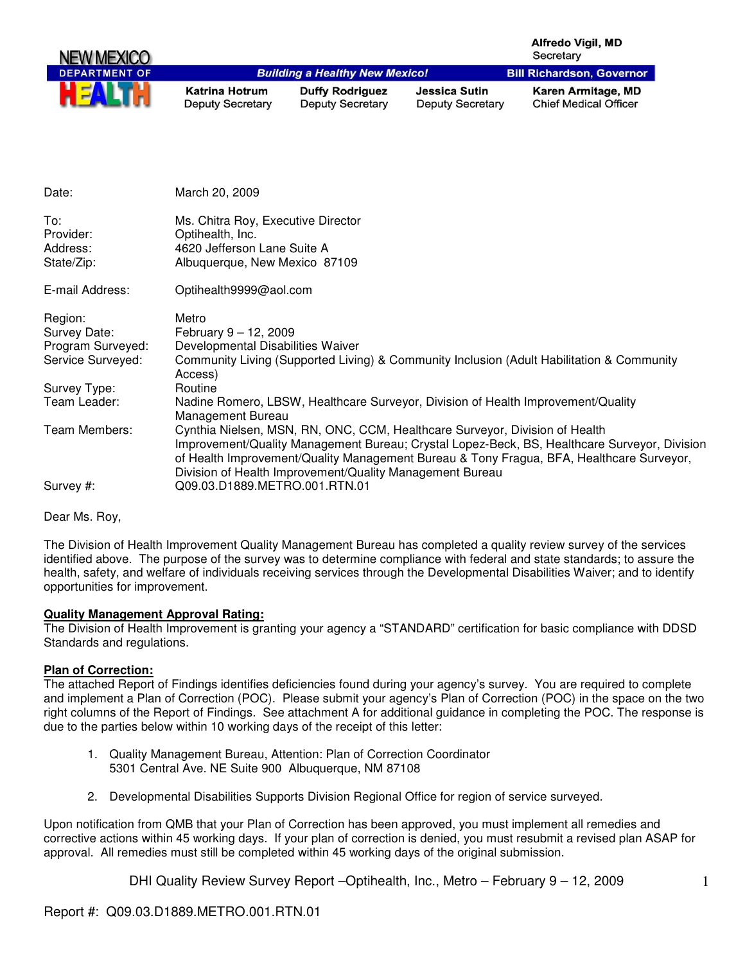|                       |                                                  |                                                          |                                                                             | <b>Alfredo Vigil, MD</b><br>Secretary                                                                                                                                                    |
|-----------------------|--------------------------------------------------|----------------------------------------------------------|-----------------------------------------------------------------------------|------------------------------------------------------------------------------------------------------------------------------------------------------------------------------------------|
| <b>DEPARTMENT OF</b>  |                                                  | <b>Building a Healthy New Mexico!</b>                    |                                                                             | <b>Bill Richardson, Governor</b>                                                                                                                                                         |
|                       | <b>Katrina Hotrum</b><br><b>Deputy Secretary</b> | <b>Duffy Rodriguez</b><br><b>Deputy Secretary</b>        | <b>Jessica Sutin</b><br><b>Deputy Secretary</b>                             | Karen Armitage, MD<br><b>Chief Medical Officer</b>                                                                                                                                       |
|                       |                                                  |                                                          |                                                                             |                                                                                                                                                                                          |
| Date:                 | March 20, 2009                                   |                                                          |                                                                             |                                                                                                                                                                                          |
| To:                   | Ms. Chitra Roy, Executive Director               |                                                          |                                                                             |                                                                                                                                                                                          |
| Provider:<br>Address: | Optihealth, Inc.<br>4620 Jefferson Lane Suite A  |                                                          |                                                                             |                                                                                                                                                                                          |
| State/Zip:            | Albuquerque, New Mexico 87109                    |                                                          |                                                                             |                                                                                                                                                                                          |
| E-mail Address:       | Optihealth9999@aol.com                           |                                                          |                                                                             |                                                                                                                                                                                          |
| Region:               | Metro                                            |                                                          |                                                                             |                                                                                                                                                                                          |
| Survey Date:          | February 9 - 12, 2009                            |                                                          |                                                                             |                                                                                                                                                                                          |
| Program Surveyed:     | Developmental Disabilities Waiver                |                                                          |                                                                             |                                                                                                                                                                                          |
| Service Surveyed:     | Access)                                          |                                                          |                                                                             | Community Living (Supported Living) & Community Inclusion (Adult Habilitation & Community                                                                                                |
| Survey Type:          | Routine                                          |                                                          |                                                                             |                                                                                                                                                                                          |
| Team Leader:          | <b>Management Bureau</b>                         |                                                          |                                                                             | Nadine Romero, LBSW, Healthcare Surveyor, Division of Health Improvement/Quality                                                                                                         |
| Team Members:         |                                                  | Division of Health Improvement/Quality Management Bureau | Cynthia Nielsen, MSN, RN, ONC, CCM, Healthcare Surveyor, Division of Health | Improvement/Quality Management Bureau; Crystal Lopez-Beck, BS, Healthcare Surveyor, Division<br>of Health Improvement/Quality Management Bureau & Tony Fragua, BFA, Healthcare Surveyor, |

Survey #: Q09.03.D1889.METRO.001.RTN.01

Dear Ms. Roy,

The Division of Health Improvement Quality Management Bureau has completed a quality review survey of the services identified above. The purpose of the survey was to determine compliance with federal and state standards; to assure the health, safety, and welfare of individuals receiving services through the Developmental Disabilities Waiver; and to identify opportunities for improvement.

#### **Quality Management Approval Rating:**

The Division of Health Improvement is granting your agency a "STANDARD" certification for basic compliance with DDSD Standards and regulations.

#### **Plan of Correction:**

The attached Report of Findings identifies deficiencies found during your agency's survey. You are required to complete and implement a Plan of Correction (POC). Please submit your agency's Plan of Correction (POC) in the space on the two right columns of the Report of Findings. See attachment A for additional guidance in completing the POC. The response is due to the parties below within 10 working days of the receipt of this letter:

- 1. Quality Management Bureau, Attention: Plan of Correction Coordinator 5301 Central Ave. NE Suite 900 Albuquerque, NM 87108
- 2. Developmental Disabilities Supports Division Regional Office for region of service surveyed.

Upon notification from QMB that your Plan of Correction has been approved, you must implement all remedies and corrective actions within 45 working days. If your plan of correction is denied, you must resubmit a revised plan ASAP for approval. All remedies must still be completed within 45 working days of the original submission.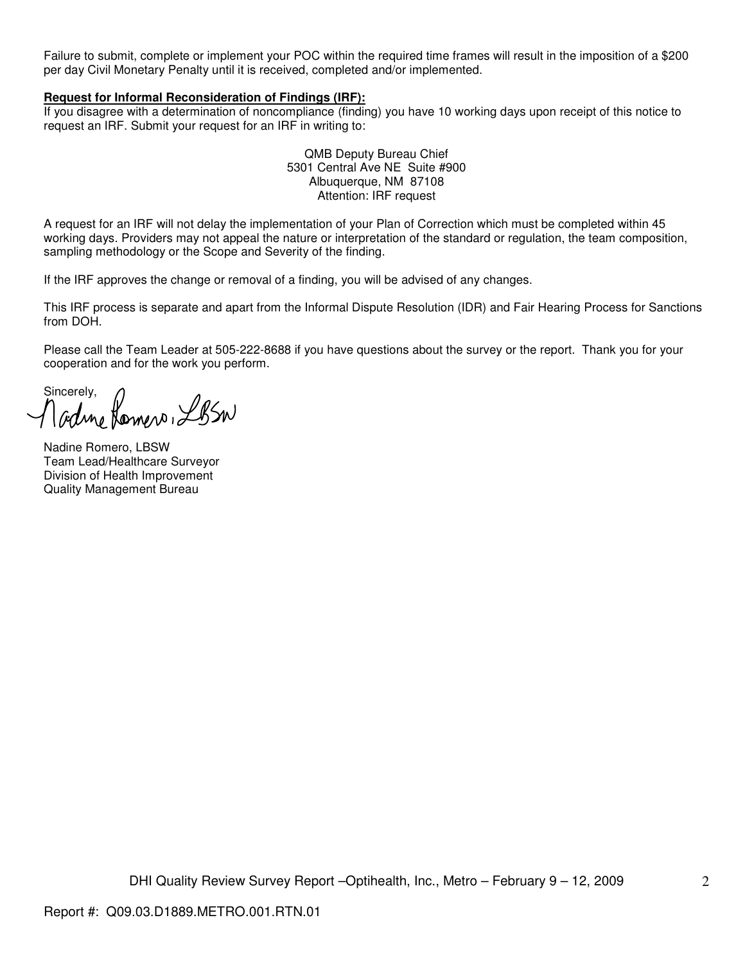Failure to submit, complete or implement your POC within the required time frames will result in the imposition of a \$200 per day Civil Monetary Penalty until it is received, completed and/or implemented.

#### **Request for Informal Reconsideration of Findings (IRF):**

If you disagree with a determination of noncompliance (finding) you have 10 working days upon receipt of this notice to request an IRF. Submit your request for an IRF in writing to:

> QMB Deputy Bureau Chief 5301 Central Ave NE Suite #900 Albuquerque, NM 87108 Attention: IRF request

A request for an IRF will not delay the implementation of your Plan of Correction which must be completed within 45 working days. Providers may not appeal the nature or interpretation of the standard or regulation, the team composition, sampling methodology or the Scope and Severity of the finding.

If the IRF approves the change or removal of a finding, you will be advised of any changes.

This IRF process is separate and apart from the Informal Dispute Resolution (IDR) and Fair Hearing Process for Sanctions from DOH.

Please call the Team Leader at 505-222-8688 if you have questions about the survey or the report. Thank you for your cooperation and for the work you perform.

Sincerely,<br>Madme Romero, LBSW

Nadine Romero, LBSW Team Lead/Healthcare Surveyor Division of Health Improvement Quality Management Bureau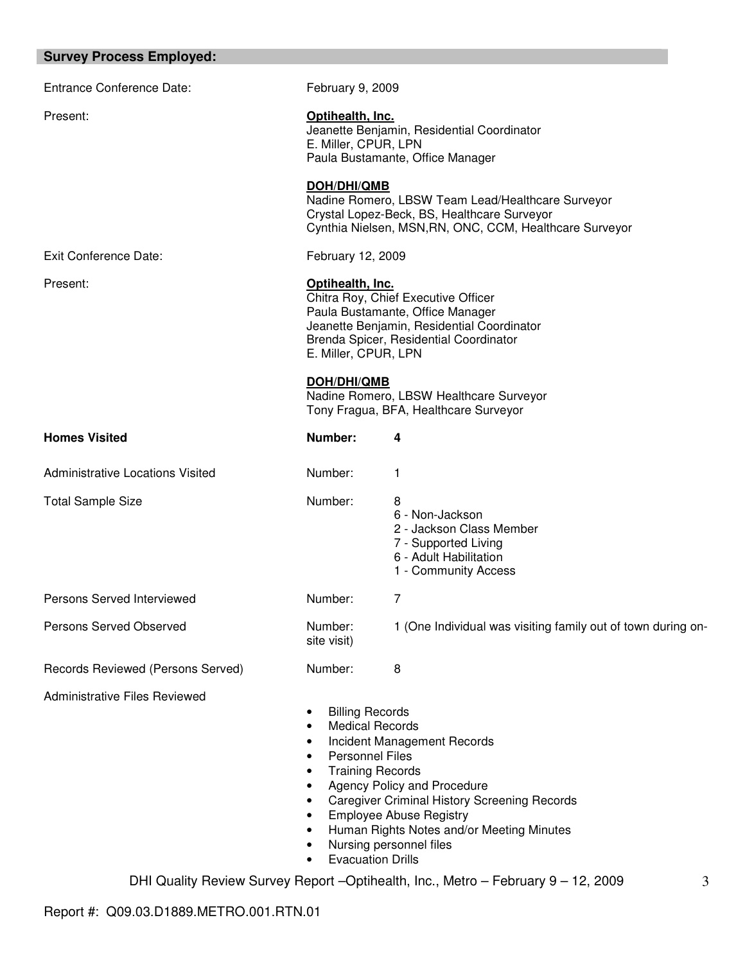| <b>Survey Process Employed:</b> |  |  |
|---------------------------------|--|--|
|---------------------------------|--|--|

| <b>Entrance Conference Date:</b>        | February 9, 2009                                                                                                                                                                                                                                                                                                                                                                          |                                                                                                                            |  |  |  |
|-----------------------------------------|-------------------------------------------------------------------------------------------------------------------------------------------------------------------------------------------------------------------------------------------------------------------------------------------------------------------------------------------------------------------------------------------|----------------------------------------------------------------------------------------------------------------------------|--|--|--|
| Present:                                | Optihealth, Inc.<br>Jeanette Benjamin, Residential Coordinator<br>E. Miller, CPUR, LPN<br>Paula Bustamante, Office Manager                                                                                                                                                                                                                                                                |                                                                                                                            |  |  |  |
|                                         | <b>DOH/DHI/QMB</b><br>Nadine Romero, LBSW Team Lead/Healthcare Surveyor<br>Crystal Lopez-Beck, BS, Healthcare Surveyor<br>Cynthia Nielsen, MSN, RN, ONC, CCM, Healthcare Surveyor                                                                                                                                                                                                         |                                                                                                                            |  |  |  |
| Exit Conference Date:                   | February 12, 2009                                                                                                                                                                                                                                                                                                                                                                         |                                                                                                                            |  |  |  |
| Present:                                | Optihealth, Inc.<br>Chitra Roy, Chief Executive Officer<br>Paula Bustamante, Office Manager<br>Jeanette Benjamin, Residential Coordinator<br>Brenda Spicer, Residential Coordinator<br>E. Miller, CPUR, LPN<br><b>DOH/DHI/QMB</b><br>Nadine Romero, LBSW Healthcare Surveyor<br>Tony Fragua, BFA, Healthcare Surveyor                                                                     |                                                                                                                            |  |  |  |
| <b>Homes Visited</b>                    | Number:                                                                                                                                                                                                                                                                                                                                                                                   | 4                                                                                                                          |  |  |  |
| <b>Administrative Locations Visited</b> | Number:                                                                                                                                                                                                                                                                                                                                                                                   | 1                                                                                                                          |  |  |  |
| <b>Total Sample Size</b>                | Number:                                                                                                                                                                                                                                                                                                                                                                                   | 8<br>6 - Non-Jackson<br>2 - Jackson Class Member<br>7 - Supported Living<br>6 - Adult Habilitation<br>1 - Community Access |  |  |  |
| Persons Served Interviewed              | Number:                                                                                                                                                                                                                                                                                                                                                                                   | 7                                                                                                                          |  |  |  |
| Persons Served Observed                 | Number:<br>site visit)                                                                                                                                                                                                                                                                                                                                                                    | 1 (One Individual was visiting family out of town during on-                                                               |  |  |  |
| Records Reviewed (Persons Served)       | Number:                                                                                                                                                                                                                                                                                                                                                                                   | 8                                                                                                                          |  |  |  |
| <b>Administrative Files Reviewed</b>    | <b>Billing Records</b><br><b>Medical Records</b><br>٠<br>Incident Management Records<br>٠<br><b>Personnel Files</b><br>٠<br><b>Training Records</b><br>٠<br>Agency Policy and Procedure<br><b>Caregiver Criminal History Screening Records</b><br>٠<br><b>Employee Abuse Registry</b><br>Human Rights Notes and/or Meeting Minutes<br>Nursing personnel files<br><b>Evacuation Drills</b> |                                                                                                                            |  |  |  |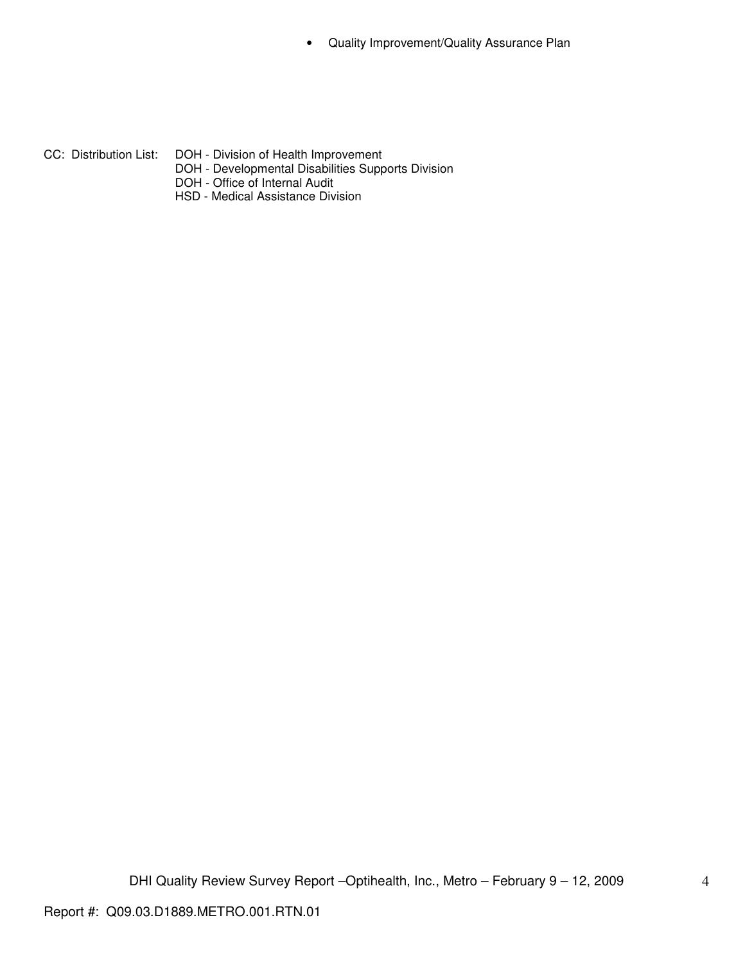• Quality Improvement/Quality Assurance Plan

- CC: Distribution List: DOH Division of Health Improvement
	- DOH Developmental Disabilities Supports Division
	- DOH Office of Internal Audit
	- HSD Medical Assistance Division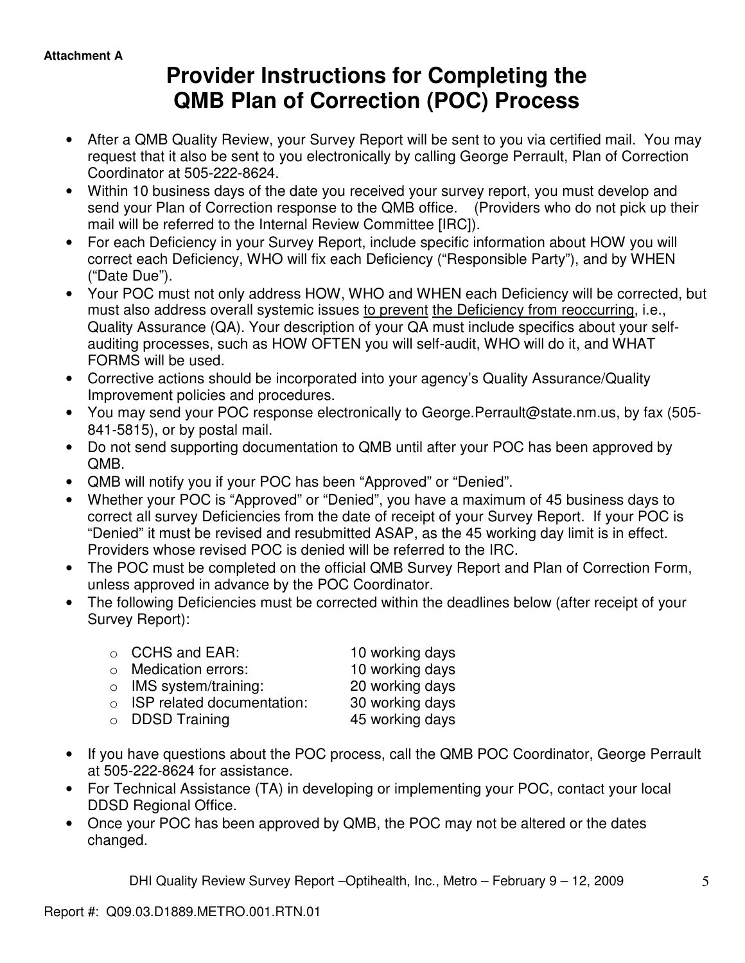# **Provider Instructions for Completing the QMB Plan of Correction (POC) Process**

- After a QMB Quality Review, your Survey Report will be sent to you via certified mail. You may request that it also be sent to you electronically by calling George Perrault, Plan of Correction Coordinator at 505-222-8624.
- Within 10 business days of the date you received your survey report, you must develop and send your Plan of Correction response to the QMB office. (Providers who do not pick up their mail will be referred to the Internal Review Committee [IRC]).
- For each Deficiency in your Survey Report, include specific information about HOW you will correct each Deficiency, WHO will fix each Deficiency ("Responsible Party"), and by WHEN ("Date Due").
- Your POC must not only address HOW, WHO and WHEN each Deficiency will be corrected, but must also address overall systemic issues to prevent the Deficiency from reoccurring, i.e., Quality Assurance (QA). Your description of your QA must include specifics about your selfauditing processes, such as HOW OFTEN you will self-audit, WHO will do it, and WHAT FORMS will be used.
- Corrective actions should be incorporated into your agency's Quality Assurance/Quality Improvement policies and procedures.
- You may send your POC response electronically to George.Perrault@state.nm.us, by fax (505- 841-5815), or by postal mail.
- Do not send supporting documentation to QMB until after your POC has been approved by QMB.
- QMB will notify you if your POC has been "Approved" or "Denied".
- Whether your POC is "Approved" or "Denied", you have a maximum of 45 business days to correct all survey Deficiencies from the date of receipt of your Survey Report. If your POC is "Denied" it must be revised and resubmitted ASAP, as the 45 working day limit is in effect. Providers whose revised POC is denied will be referred to the IRC.
- The POC must be completed on the official QMB Survey Report and Plan of Correction Form, unless approved in advance by the POC Coordinator.
- The following Deficiencies must be corrected within the deadlines below (after receipt of your Survey Report):

| $\circ$ CCHS and EAR:              | 10 working days |
|------------------------------------|-----------------|
| $\circ$ Medication errors:         | 10 working days |
| $\circ$ IMS system/training:       | 20 working days |
| $\circ$ ISP related documentation: | 30 working days |
| $\circ$ DDSD Training              | 45 working days |

- If you have questions about the POC process, call the QMB POC Coordinator, George Perrault at 505-222-8624 for assistance.
- For Technical Assistance (TA) in developing or implementing your POC, contact your local DDSD Regional Office.
- Once your POC has been approved by QMB, the POC may not be altered or the dates changed.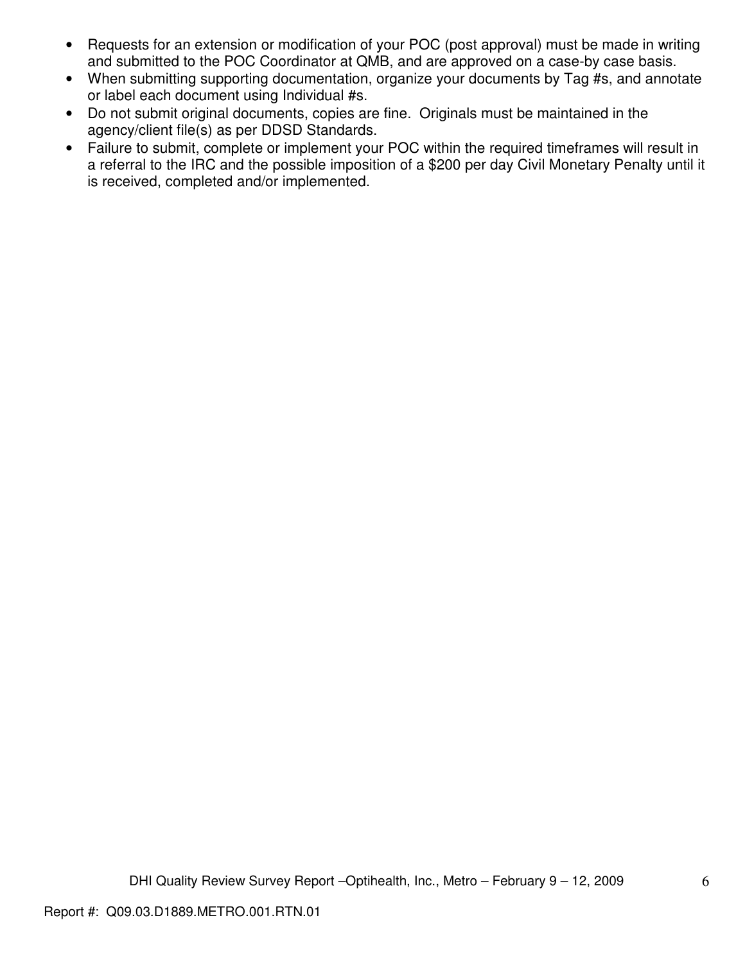- Requests for an extension or modification of your POC (post approval) must be made in writing and submitted to the POC Coordinator at QMB, and are approved on a case-by case basis.
- When submitting supporting documentation, organize your documents by Tag #s, and annotate or label each document using Individual #s.
- Do not submit original documents, copies are fine. Originals must be maintained in the agency/client file(s) as per DDSD Standards.
- Failure to submit, complete or implement your POC within the required timeframes will result in a referral to the IRC and the possible imposition of a \$200 per day Civil Monetary Penalty until it is received, completed and/or implemented.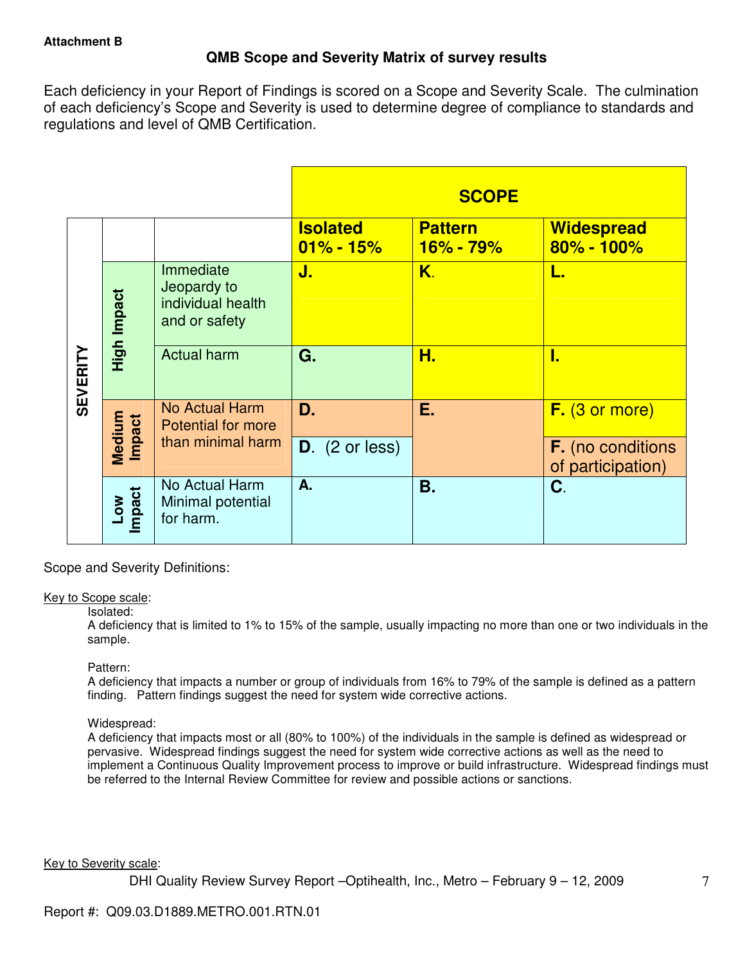## **QMB Scope and Severity Matrix of survey results**

Each deficiency in your Report of Findings is scored on a Scope and Severity Scale. The culmination of each deficiency's Scope and Severity is used to determine degree of compliance to standards and regulations and level of QMB Certification.

|                 |                  |                                                                |                                  | <b>SCOPE</b>                |                                               |
|-----------------|------------------|----------------------------------------------------------------|----------------------------------|-----------------------------|-----------------------------------------------|
|                 |                  |                                                                | <b>Isolated</b><br>$01\% - 15\%$ | <b>Pattern</b><br>16% - 79% | <b>Widespread</b><br>$80\% - 100\%$           |
| <b>SEVERITY</b> | High Impact      | Immediate<br>Jeopardy to<br>individual health<br>and or safety | J.                               | K.                          | L.                                            |
|                 |                  | <b>Actual harm</b>                                             | G.                               | Н.                          | 1.                                            |
|                 | Medium<br>Impact | <b>No Actual Harm</b><br><b>Potential for more</b>             | D.                               | Ε.                          | F. (3 or more)                                |
|                 |                  | than minimal harm                                              | $D.$ (2 or less)                 |                             | <b>F.</b> (no conditions<br>of participation) |
|                 | Low<br>Impact    | No Actual Harm<br>Minimal potential<br>for harm.               | A.                               | Β.                          | C.                                            |

Scope and Severity Definitions:

#### Key to Scope scale:

#### Isolated:

A deficiency that is limited to 1% to 15% of the sample, usually impacting no more than one or two individuals in the sample.

#### Pattern:

A deficiency that impacts a number or group of individuals from 16% to 79% of the sample is defined as a pattern finding. Pattern findings suggest the need for system wide corrective actions.

## Widespread:

A deficiency that impacts most or all (80% to 100%) of the individuals in the sample is defined as widespread or pervasive. Widespread findings suggest the need for system wide corrective actions as well as the need to implement a Continuous Quality Improvement process to improve or build infrastructure. Widespread findings must be referred to the Internal Review Committee for review and possible actions or sanctions.

Key to Severity scale: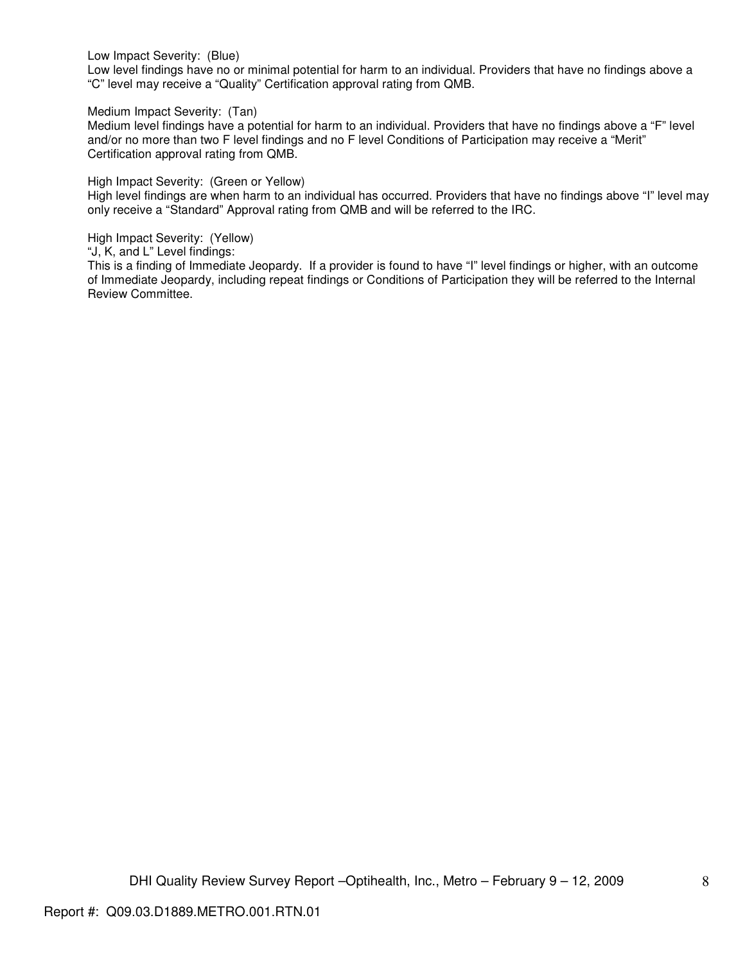Low Impact Severity: (Blue)

Low level findings have no or minimal potential for harm to an individual. Providers that have no findings above a "C" level may receive a "Quality" Certification approval rating from QMB.

Medium Impact Severity: (Tan)

Medium level findings have a potential for harm to an individual. Providers that have no findings above a "F" level and/or no more than two F level findings and no F level Conditions of Participation may receive a "Merit" Certification approval rating from QMB.

High Impact Severity: (Green or Yellow)

High level findings are when harm to an individual has occurred. Providers that have no findings above "I" level may only receive a "Standard" Approval rating from QMB and will be referred to the IRC.

High Impact Severity: (Yellow)

"J, K, and L" Level findings:

This is a finding of Immediate Jeopardy. If a provider is found to have "I" level findings or higher, with an outcome of Immediate Jeopardy, including repeat findings or Conditions of Participation they will be referred to the Internal Review Committee.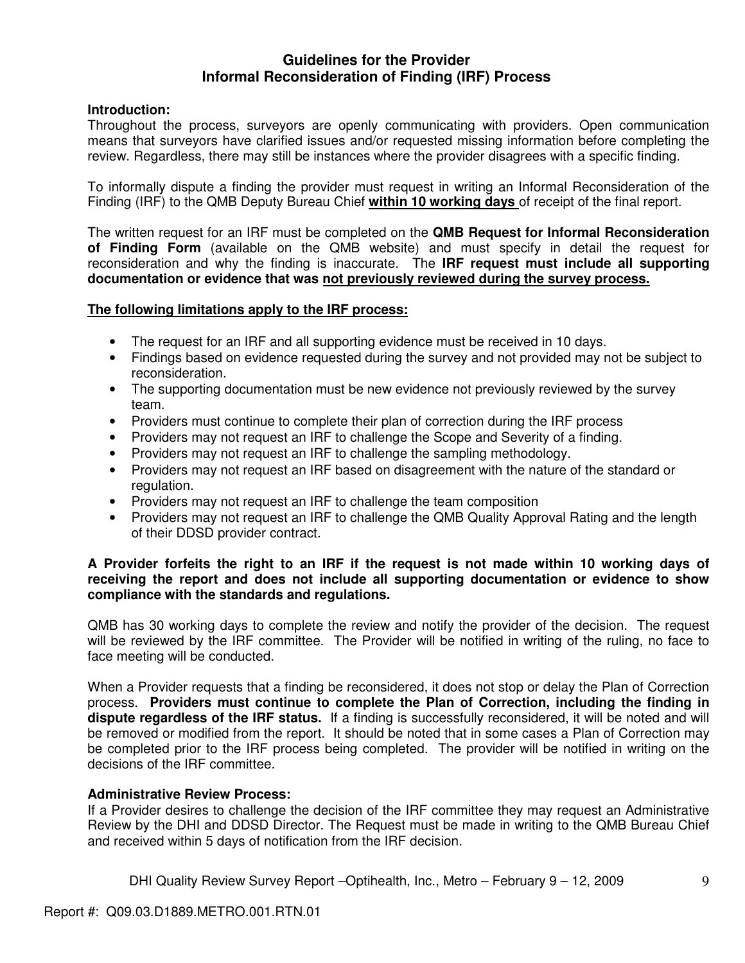## **Guidelines for the Provider Informal Reconsideration of Finding (IRF) Process**

## **Introduction:**

Throughout the process, surveyors are openly communicating with providers. Open communication means that surveyors have clarified issues and/or requested missing information before completing the review. Regardless, there may still be instances where the provider disagrees with a specific finding.

To informally dispute a finding the provider must request in writing an Informal Reconsideration of the Finding (IRF) to the QMB Deputy Bureau Chief **within 10 working days** of receipt of the final report.

The written request for an IRF must be completed on the **QMB Request for Informal Reconsideration of Finding Form** (available on the QMB website) and must specify in detail the request for reconsideration and why the finding is inaccurate. The **IRF request must include all supporting documentation or evidence that was not previously reviewed during the survey process.** 

## **The following limitations apply to the IRF process:**

- The request for an IRF and all supporting evidence must be received in 10 days.
- Findings based on evidence requested during the survey and not provided may not be subject to reconsideration.
- The supporting documentation must be new evidence not previously reviewed by the survey team.
- Providers must continue to complete their plan of correction during the IRF process
- Providers may not request an IRF to challenge the Scope and Severity of a finding.
- Providers may not request an IRF to challenge the sampling methodology.
- Providers may not request an IRF based on disagreement with the nature of the standard or regulation.
- Providers may not request an IRF to challenge the team composition
- Providers may not request an IRF to challenge the QMB Quality Approval Rating and the length of their DDSD provider contract.

## **A Provider forfeits the right to an IRF if the request is not made within 10 working days of receiving the report and does not include all supporting documentation or evidence to show compliance with the standards and regulations.**

QMB has 30 working days to complete the review and notify the provider of the decision. The request will be reviewed by the IRF committee. The Provider will be notified in writing of the ruling, no face to face meeting will be conducted.

When a Provider requests that a finding be reconsidered, it does not stop or delay the Plan of Correction process. **Providers must continue to complete the Plan of Correction, including the finding in dispute regardless of the IRF status.** If a finding is successfully reconsidered, it will be noted and will be removed or modified from the report. It should be noted that in some cases a Plan of Correction may be completed prior to the IRF process being completed. The provider will be notified in writing on the decisions of the IRF committee.

## **Administrative Review Process:**

If a Provider desires to challenge the decision of the IRF committee they may request an Administrative Review by the DHI and DDSD Director. The Request must be made in writing to the QMB Bureau Chief and received within 5 days of notification from the IRF decision.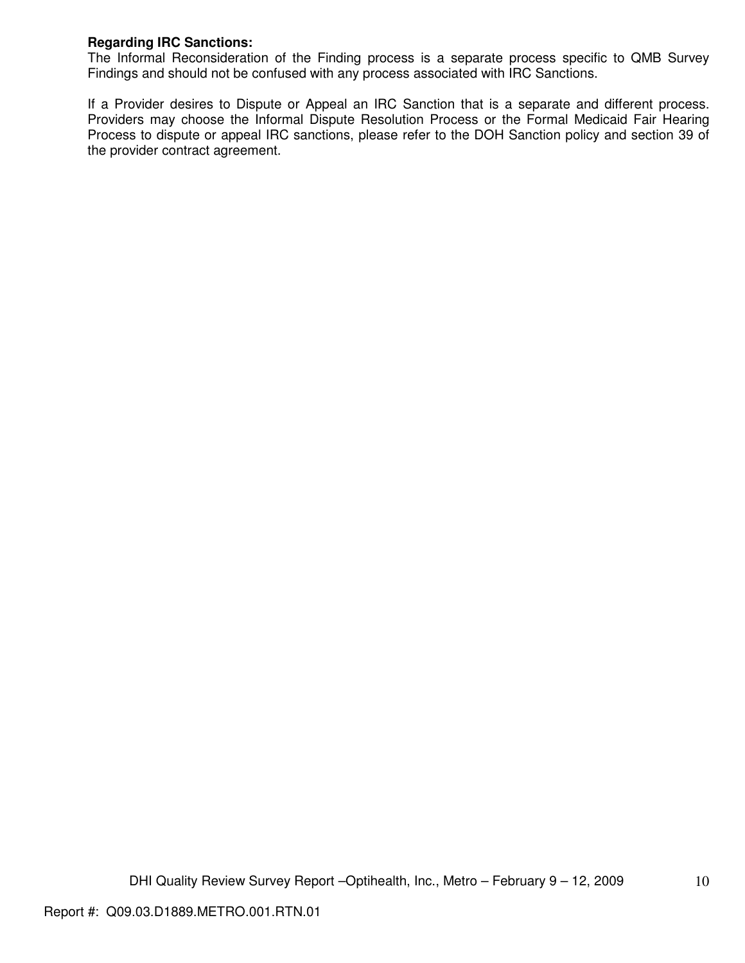## **Regarding IRC Sanctions:**

The Informal Reconsideration of the Finding process is a separate process specific to QMB Survey Findings and should not be confused with any process associated with IRC Sanctions.

If a Provider desires to Dispute or Appeal an IRC Sanction that is a separate and different process. Providers may choose the Informal Dispute Resolution Process or the Formal Medicaid Fair Hearing Process to dispute or appeal IRC sanctions, please refer to the DOH Sanction policy and section 39 of the provider contract agreement.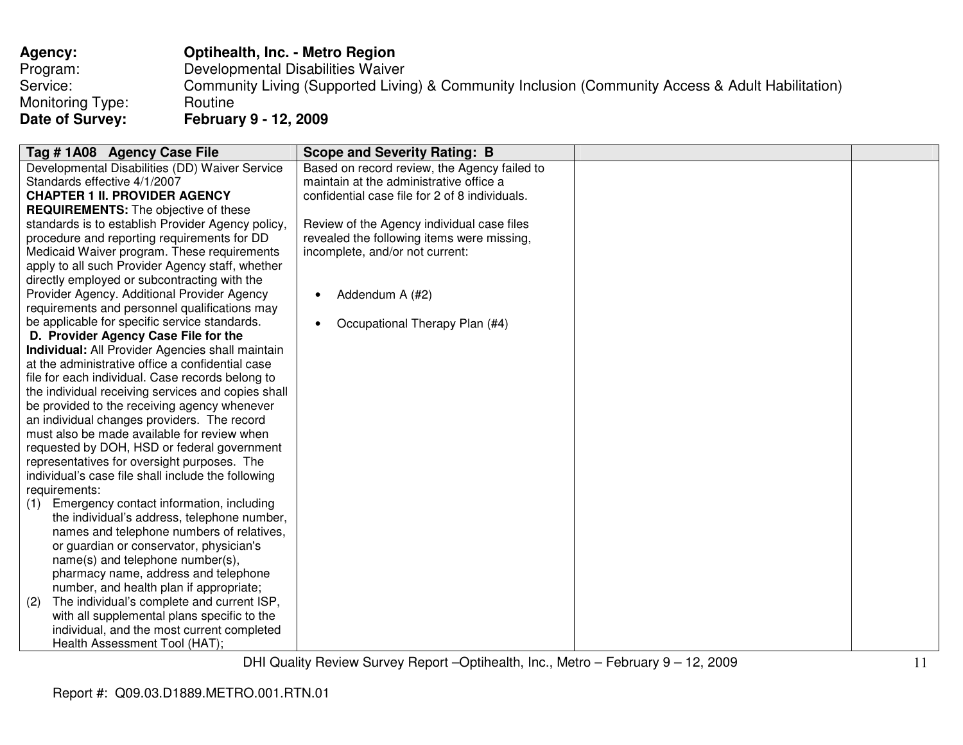| Agency:          | Optihealth, Inc. - Metro Region                                                                   |
|------------------|---------------------------------------------------------------------------------------------------|
| Program:         | Developmental Disabilities Waiver                                                                 |
| Service:         | Community Living (Supported Living) & Community Inclusion (Community Access & Adult Habilitation) |
| Monitoring Type: | Routine                                                                                           |
| Date of Survey:  | <b>February 9 - 12, 2009</b>                                                                      |

| Tag #1A08 Agency Case File                              | <b>Scope and Severity Rating: B</b>            |  |
|---------------------------------------------------------|------------------------------------------------|--|
| Developmental Disabilities (DD) Waiver Service          | Based on record review, the Agency failed to   |  |
| Standards effective 4/1/2007                            | maintain at the administrative office a        |  |
| <b>CHAPTER 1 II. PROVIDER AGENCY</b>                    | confidential case file for 2 of 8 individuals. |  |
| <b>REQUIREMENTS:</b> The objective of these             |                                                |  |
| standards is to establish Provider Agency policy,       | Review of the Agency individual case files     |  |
| procedure and reporting requirements for DD             | revealed the following items were missing,     |  |
| Medicaid Waiver program. These requirements             | incomplete, and/or not current:                |  |
| apply to all such Provider Agency staff, whether        |                                                |  |
| directly employed or subcontracting with the            |                                                |  |
| Provider Agency. Additional Provider Agency             | Addendum A (#2)<br>٠                           |  |
| requirements and personnel qualifications may           |                                                |  |
| be applicable for specific service standards.           | Occupational Therapy Plan (#4)<br>$\bullet$    |  |
| D. Provider Agency Case File for the                    |                                                |  |
| <b>Individual:</b> All Provider Agencies shall maintain |                                                |  |
| at the administrative office a confidential case        |                                                |  |
| file for each individual. Case records belong to        |                                                |  |
| the individual receiving services and copies shall      |                                                |  |
| be provided to the receiving agency whenever            |                                                |  |
| an individual changes providers. The record             |                                                |  |
| must also be made available for review when             |                                                |  |
| requested by DOH, HSD or federal government             |                                                |  |
| representatives for oversight purposes. The             |                                                |  |
| individual's case file shall include the following      |                                                |  |
| requirements:                                           |                                                |  |
| Emergency contact information, including<br>(1)         |                                                |  |
| the individual's address, telephone number,             |                                                |  |
| names and telephone numbers of relatives,               |                                                |  |
| or guardian or conservator, physician's                 |                                                |  |
| name(s) and telephone number(s),                        |                                                |  |
| pharmacy name, address and telephone                    |                                                |  |
| number, and health plan if appropriate;                 |                                                |  |
| The individual's complete and current ISP,<br>(2)       |                                                |  |
| with all supplemental plans specific to the             |                                                |  |
| individual, and the most current completed              |                                                |  |
| Health Assessment Tool (HAT);                           |                                                |  |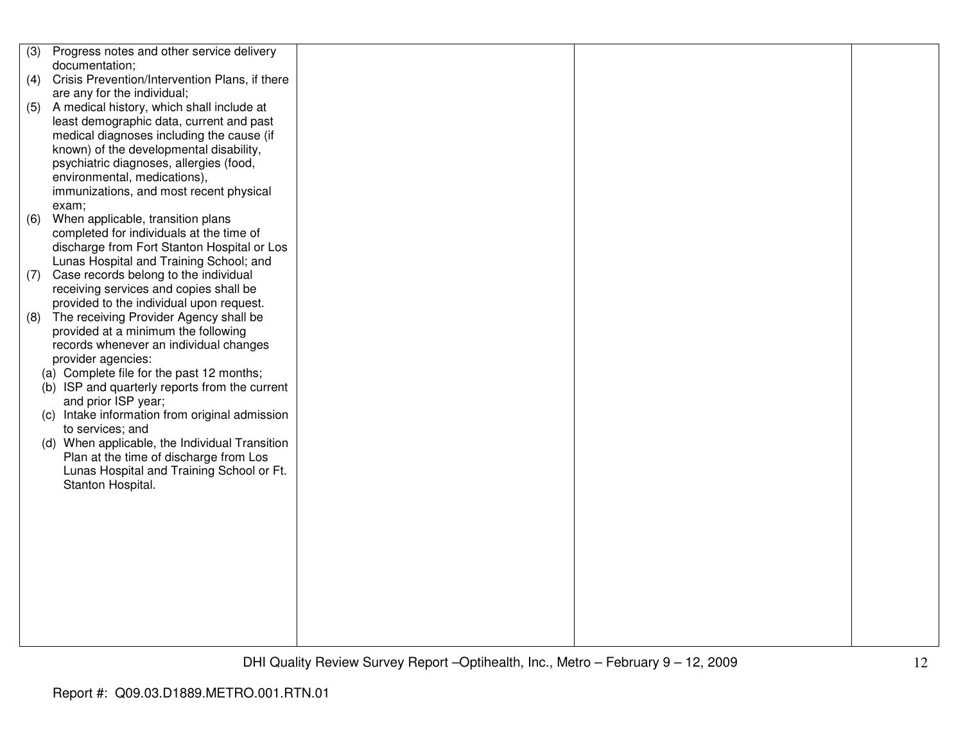| (3) | Progress notes and other service delivery      |  |  |
|-----|------------------------------------------------|--|--|
|     | documentation;                                 |  |  |
| (4) | Crisis Prevention/Intervention Plans, if there |  |  |
|     | are any for the individual;                    |  |  |
| (5) | A medical history, which shall include at      |  |  |
|     | least demographic data, current and past       |  |  |
|     | medical diagnoses including the cause (if      |  |  |
|     | known) of the developmental disability,        |  |  |
|     | psychiatric diagnoses, allergies (food,        |  |  |
|     | environmental, medications),                   |  |  |
|     | immunizations, and most recent physical        |  |  |
|     | exam;                                          |  |  |
| (6) | When applicable, transition plans              |  |  |
|     | completed for individuals at the time of       |  |  |
|     | discharge from Fort Stanton Hospital or Los    |  |  |
|     | Lunas Hospital and Training School; and        |  |  |
| (7) | Case records belong to the individual          |  |  |
|     | receiving services and copies shall be         |  |  |
|     | provided to the individual upon request.       |  |  |
| (8) | The receiving Provider Agency shall be         |  |  |
|     | provided at a minimum the following            |  |  |
|     | records whenever an individual changes         |  |  |
|     | provider agencies:                             |  |  |
|     | (a) Complete file for the past 12 months;      |  |  |
|     | (b) ISP and quarterly reports from the current |  |  |
|     | and prior ISP year;                            |  |  |
|     | (c) Intake information from original admission |  |  |
|     | to services; and                               |  |  |
|     | (d) When applicable, the Individual Transition |  |  |
|     | Plan at the time of discharge from Los         |  |  |
|     | Lunas Hospital and Training School or Ft.      |  |  |
|     | Stanton Hospital.                              |  |  |
|     |                                                |  |  |
|     |                                                |  |  |
|     |                                                |  |  |
|     |                                                |  |  |
|     |                                                |  |  |
|     |                                                |  |  |
|     |                                                |  |  |
|     |                                                |  |  |
|     |                                                |  |  |
|     |                                                |  |  |
|     |                                                |  |  |
|     |                                                |  |  |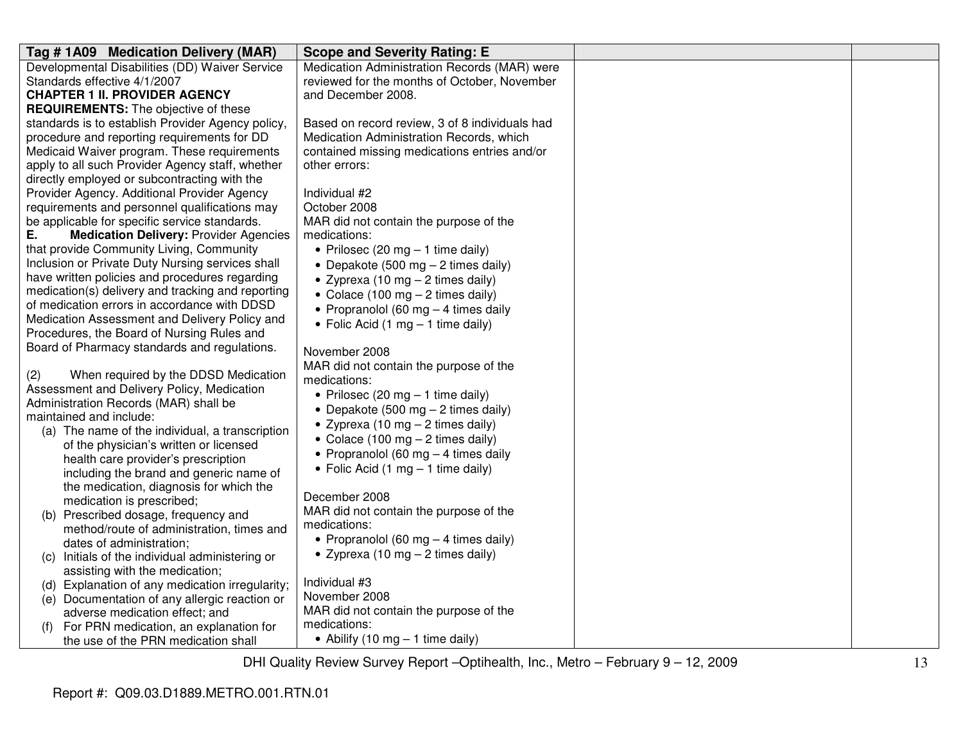| Tag #1A09 Medication Delivery (MAR)                 | <b>Scope and Severity Rating: E</b>                |  |
|-----------------------------------------------------|----------------------------------------------------|--|
| Developmental Disabilities (DD) Waiver Service      | Medication Administration Records (MAR) were       |  |
| Standards effective 4/1/2007                        | reviewed for the months of October, November       |  |
| <b>CHAPTER 1 II. PROVIDER AGENCY</b>                | and December 2008.                                 |  |
| <b>REQUIREMENTS:</b> The objective of these         |                                                    |  |
| standards is to establish Provider Agency policy,   | Based on record review, 3 of 8 individuals had     |  |
| procedure and reporting requirements for DD         | Medication Administration Records, which           |  |
| Medicaid Waiver program. These requirements         | contained missing medications entries and/or       |  |
| apply to all such Provider Agency staff, whether    | other errors:                                      |  |
| directly employed or subcontracting with the        |                                                    |  |
| Provider Agency. Additional Provider Agency         | Individual #2                                      |  |
| requirements and personnel qualifications may       | October 2008                                       |  |
| be applicable for specific service standards.       | MAR did not contain the purpose of the             |  |
| Ε.<br><b>Medication Delivery: Provider Agencies</b> | medications:                                       |  |
| that provide Community Living, Community            | • Prilosec (20 mg $-$ 1 time daily)                |  |
| Inclusion or Private Duty Nursing services shall    | • Depakote (500 mg $-$ 2 times daily)              |  |
| have written policies and procedures regarding      | • Zyprexa (10 mg $-$ 2 times daily)                |  |
| medication(s) delivery and tracking and reporting   | • Colace (100 mg $-$ 2 times daily)                |  |
| of medication errors in accordance with DDSD        | • Propranolol (60 mg $-$ 4 times daily             |  |
| Medication Assessment and Delivery Policy and       | • Folic Acid (1 mg $-$ 1 time daily)               |  |
| Procedures, the Board of Nursing Rules and          |                                                    |  |
| Board of Pharmacy standards and regulations.        | November 2008                                      |  |
|                                                     | MAR did not contain the purpose of the             |  |
| (2)<br>When required by the DDSD Medication         | medications:                                       |  |
| Assessment and Delivery Policy, Medication          | • Prilosec (20 mg $-$ 1 time daily)                |  |
| Administration Records (MAR) shall be               | • Depakote (500 mg $-$ 2 times daily)              |  |
| maintained and include:                             | • Zyprexa (10 mg $-$ 2 times daily)                |  |
| (a) The name of the individual, a transcription     | • Colace (100 mg $-$ 2 times daily)                |  |
| of the physician's written or licensed              | • Propranolol (60 mg $-$ 4 times daily             |  |
| health care provider's prescription                 | • Folic Acid (1 mg $-$ 1 time daily)               |  |
| including the brand and generic name of             |                                                    |  |
| the medication, diagnosis for which the             | December 2008                                      |  |
| medication is prescribed;                           | MAR did not contain the purpose of the             |  |
| (b) Prescribed dosage, frequency and                | medications:                                       |  |
| method/route of administration, times and           | • Propranolol (60 mg $-$ 4 times daily)            |  |
| dates of administration;                            | • Zyprexa (10 mg $-$ 2 times daily)                |  |
| Initials of the individual administering or<br>(C)  |                                                    |  |
| assisting with the medication;                      | Individual #3                                      |  |
| Explanation of any medication irregularity;<br>(d)  | November 2008                                      |  |
| (e) Documentation of any allergic reaction or       | MAR did not contain the purpose of the             |  |
| adverse medication effect; and                      | medications:                                       |  |
| For PRN medication, an explanation for<br>(f)       |                                                    |  |
| the use of the PRN medication shall                 | • Abilify $(10 \text{ mg} - 1 \text{ time daily})$ |  |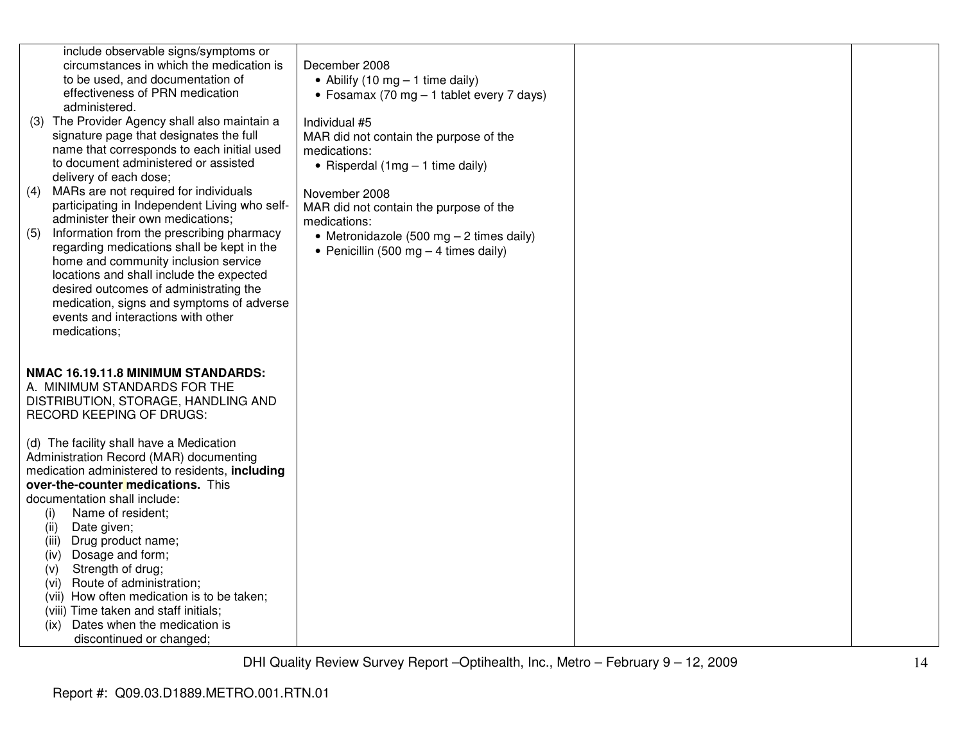|     | include observable signs/symptoms or<br>circumstances in which the medication is | December 2008                               |  |
|-----|----------------------------------------------------------------------------------|---------------------------------------------|--|
|     | to be used, and documentation of                                                 | • Abilify (10 mg $-$ 1 time daily)          |  |
|     | effectiveness of PRN medication                                                  | • Fosamax (70 mg $-$ 1 tablet every 7 days) |  |
|     | administered.                                                                    |                                             |  |
|     | (3) The Provider Agency shall also maintain a                                    | Individual #5                               |  |
|     | signature page that designates the full                                          | MAR did not contain the purpose of the      |  |
|     | name that corresponds to each initial used                                       | medications:                                |  |
|     | to document administered or assisted                                             | • Risperdal $(1mg - 1$ time daily)          |  |
|     | delivery of each dose;                                                           |                                             |  |
| (4) | MARs are not required for individuals                                            | November 2008                               |  |
|     | participating in Independent Living who self-                                    | MAR did not contain the purpose of the      |  |
|     | administer their own medications;                                                | medications:                                |  |
| (5) | Information from the prescribing pharmacy                                        | • Metronidazole (500 mg $-$ 2 times daily)  |  |
|     | regarding medications shall be kept in the                                       | • Penicillin (500 mg $-$ 4 times daily)     |  |
|     | home and community inclusion service                                             |                                             |  |
|     | locations and shall include the expected                                         |                                             |  |
|     | desired outcomes of administrating the                                           |                                             |  |
|     | medication, signs and symptoms of adverse<br>events and interactions with other  |                                             |  |
|     | medications;                                                                     |                                             |  |
|     |                                                                                  |                                             |  |
|     |                                                                                  |                                             |  |
|     | NMAC 16.19.11.8 MINIMUM STANDARDS:                                               |                                             |  |
|     | A. MINIMUM STANDARDS FOR THE                                                     |                                             |  |
|     | DISTRIBUTION, STORAGE, HANDLING AND                                              |                                             |  |
|     | <b>RECORD KEEPING OF DRUGS:</b>                                                  |                                             |  |
|     |                                                                                  |                                             |  |
|     | (d) The facility shall have a Medication                                         |                                             |  |
|     | Administration Record (MAR) documenting                                          |                                             |  |
|     | medication administered to residents, including                                  |                                             |  |
|     | over-the-counter medications. This                                               |                                             |  |
|     | documentation shall include:                                                     |                                             |  |
|     | Name of resident;<br>(i)<br>Date given;                                          |                                             |  |
|     | (ii)<br>Drug product name;                                                       |                                             |  |
|     | (iii)<br>Dosage and form;<br>(iv)                                                |                                             |  |
|     | Strength of drug;<br>(v)                                                         |                                             |  |
|     | Route of administration;<br>(vi)                                                 |                                             |  |
|     | (vii) How often medication is to be taken;                                       |                                             |  |
|     | (viii) Time taken and staff initials;                                            |                                             |  |
|     | Dates when the medication is<br>(ix)                                             |                                             |  |
|     |                                                                                  |                                             |  |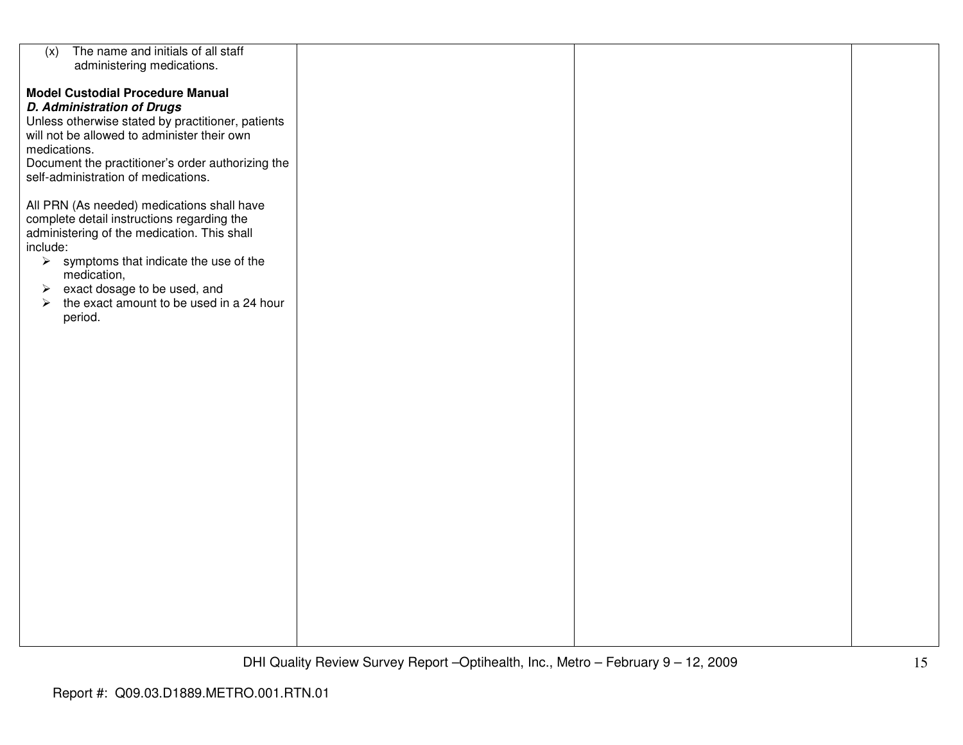| The name and initials of all staff<br>(x)              |  |  |
|--------------------------------------------------------|--|--|
| administering medications.                             |  |  |
|                                                        |  |  |
|                                                        |  |  |
| <b>Model Custodial Procedure Manual</b>                |  |  |
| <b>D. Administration of Drugs</b>                      |  |  |
|                                                        |  |  |
| Unless otherwise stated by practitioner, patients      |  |  |
| will not be allowed to administer their own            |  |  |
| medications.                                           |  |  |
|                                                        |  |  |
| Document the practitioner's order authorizing the      |  |  |
| self-administration of medications.                    |  |  |
|                                                        |  |  |
|                                                        |  |  |
| All PRN (As needed) medications shall have             |  |  |
| complete detail instructions regarding the             |  |  |
| administering of the medication. This shall            |  |  |
| include:                                               |  |  |
|                                                        |  |  |
| $\triangleright$ symptoms that indicate the use of the |  |  |
| medication,                                            |  |  |
| $\triangleright$ exact dosage to be used, and          |  |  |
| $\blacktriangleright$                                  |  |  |
| the exact amount to be used in a 24 hour               |  |  |
| period.                                                |  |  |
|                                                        |  |  |
|                                                        |  |  |
|                                                        |  |  |
|                                                        |  |  |
|                                                        |  |  |
|                                                        |  |  |
|                                                        |  |  |
|                                                        |  |  |
|                                                        |  |  |
|                                                        |  |  |
|                                                        |  |  |
|                                                        |  |  |
|                                                        |  |  |
|                                                        |  |  |
|                                                        |  |  |
|                                                        |  |  |
|                                                        |  |  |
|                                                        |  |  |
|                                                        |  |  |
|                                                        |  |  |
|                                                        |  |  |
|                                                        |  |  |
|                                                        |  |  |
|                                                        |  |  |
|                                                        |  |  |
|                                                        |  |  |
|                                                        |  |  |
|                                                        |  |  |
|                                                        |  |  |
|                                                        |  |  |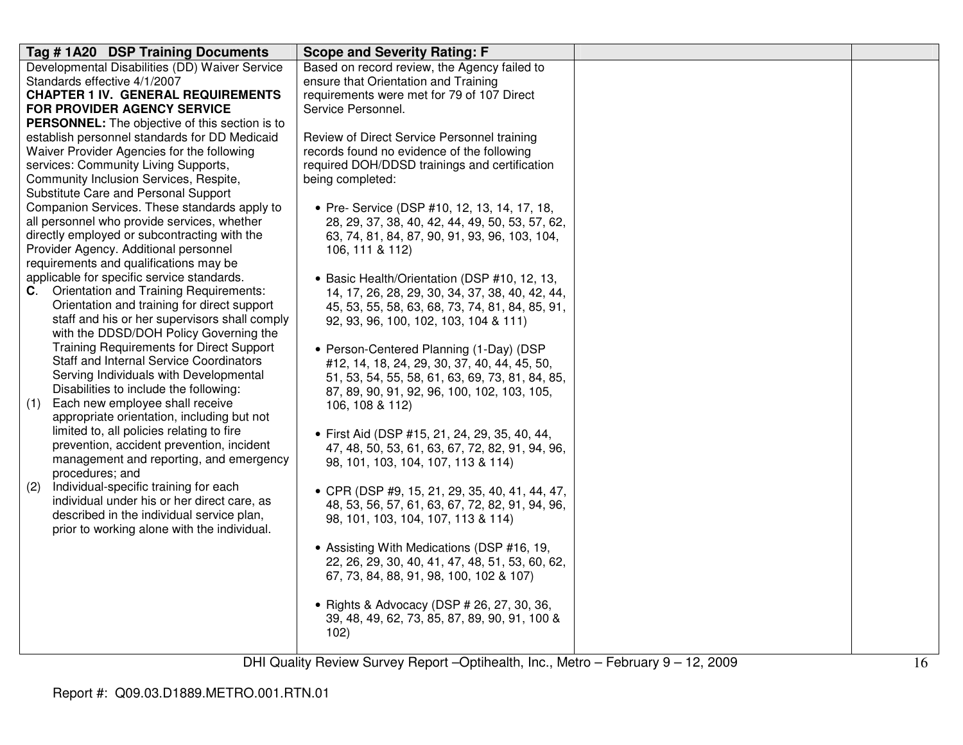| Tag #1A20 DSP Training Documents                                                            | <b>Scope and Severity Rating: F</b>             |  |
|---------------------------------------------------------------------------------------------|-------------------------------------------------|--|
| Developmental Disabilities (DD) Waiver Service                                              | Based on record review, the Agency failed to    |  |
| Standards effective 4/1/2007                                                                | ensure that Orientation and Training            |  |
| <b>CHAPTER 1 IV. GENERAL REQUIREMENTS</b>                                                   | requirements were met for 79 of 107 Direct      |  |
| FOR PROVIDER AGENCY SERVICE                                                                 | Service Personnel.                              |  |
| <b>PERSONNEL:</b> The objective of this section is to                                       |                                                 |  |
| establish personnel standards for DD Medicaid                                               | Review of Direct Service Personnel training     |  |
| Waiver Provider Agencies for the following                                                  | records found no evidence of the following      |  |
| services: Community Living Supports,                                                        | required DOH/DDSD trainings and certification   |  |
| Community Inclusion Services, Respite,                                                      | being completed:                                |  |
| Substitute Care and Personal Support                                                        |                                                 |  |
| Companion Services. These standards apply to                                                | • Pre- Service (DSP #10, 12, 13, 14, 17, 18,    |  |
| all personnel who provide services, whether                                                 | 28, 29, 37, 38, 40, 42, 44, 49, 50, 53, 57, 62, |  |
| directly employed or subcontracting with the                                                | 63, 74, 81, 84, 87, 90, 91, 93, 96, 103, 104,   |  |
| Provider Agency. Additional personnel                                                       | 106, 111 & 112)                                 |  |
| requirements and qualifications may be                                                      |                                                 |  |
| applicable for specific service standards.                                                  | • Basic Health/Orientation (DSP #10, 12, 13,    |  |
| <b>C.</b> Orientation and Training Requirements:                                            | 14, 17, 26, 28, 29, 30, 34, 37, 38, 40, 42, 44, |  |
| Orientation and training for direct support                                                 | 45, 53, 55, 58, 63, 68, 73, 74, 81, 84, 85, 91, |  |
| staff and his or her supervisors shall comply                                               | 92, 93, 96, 100, 102, 103, 104 & 111)           |  |
| with the DDSD/DOH Policy Governing the                                                      |                                                 |  |
| <b>Training Requirements for Direct Support</b>                                             | • Person-Centered Planning (1-Day) (DSP         |  |
| Staff and Internal Service Coordinators                                                     | #12, 14, 18, 24, 29, 30, 37, 40, 44, 45, 50,    |  |
| Serving Individuals with Developmental                                                      | 51, 53, 54, 55, 58, 61, 63, 69, 73, 81, 84, 85, |  |
| Disabilities to include the following:                                                      | 87, 89, 90, 91, 92, 96, 100, 102, 103, 105,     |  |
| Each new employee shall receive<br>(1)                                                      | 106, 108 & 112)                                 |  |
| appropriate orientation, including but not                                                  |                                                 |  |
| limited to, all policies relating to fire                                                   | · First Aid (DSP #15, 21, 24, 29, 35, 40, 44,   |  |
| prevention, accident prevention, incident                                                   | 47, 48, 50, 53, 61, 63, 67, 72, 82, 91, 94, 96, |  |
| management and reporting, and emergency                                                     | 98, 101, 103, 104, 107, 113 & 114)              |  |
| procedures; and                                                                             |                                                 |  |
| Individual-specific training for each<br>(2)<br>individual under his or her direct care, as | • CPR (DSP #9, 15, 21, 29, 35, 40, 41, 44, 47,  |  |
| described in the individual service plan,                                                   | 48, 53, 56, 57, 61, 63, 67, 72, 82, 91, 94, 96, |  |
| prior to working alone with the individual.                                                 | 98, 101, 103, 104, 107, 113 & 114)              |  |
|                                                                                             |                                                 |  |
|                                                                                             | • Assisting With Medications (DSP #16, 19,      |  |
|                                                                                             | 22, 26, 29, 30, 40, 41, 47, 48, 51, 53, 60, 62, |  |
|                                                                                             | 67, 73, 84, 88, 91, 98, 100, 102 & 107)         |  |
|                                                                                             |                                                 |  |
|                                                                                             | • Rights & Advocacy (DSP # 26, 27, 30, 36,      |  |
|                                                                                             | 39, 48, 49, 62, 73, 85, 87, 89, 90, 91, 100 &   |  |
|                                                                                             | 102)                                            |  |
|                                                                                             |                                                 |  |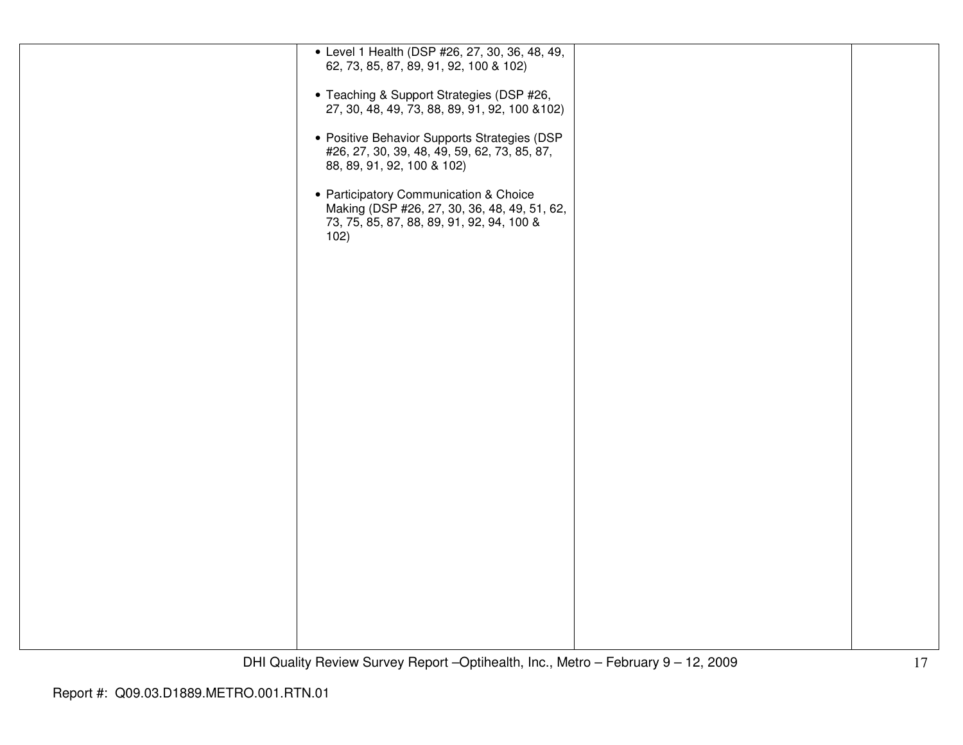| • Level 1 Health (DSP #26, 27, 30, 36, 48, 49, |  |
|------------------------------------------------|--|
| 62, 73, 85, 87, 89, 91, 92, 100 & 102)         |  |
|                                                |  |
|                                                |  |
|                                                |  |
| • Teaching & Support Strategies (DSP #26,      |  |
| 27, 30, 48, 49, 73, 88, 89, 91, 92, 100 & 102) |  |
|                                                |  |
|                                                |  |
| • Positive Behavior Supports Strategies (DSP   |  |
|                                                |  |
| #26, 27, 30, 39, 48, 49, 59, 62, 73, 85, 87,   |  |
| 88, 89, 91, 92, 100 & 102)                     |  |
|                                                |  |
|                                                |  |
| • Participatory Communication & Choice         |  |
|                                                |  |
| Making (DSP #26, 27, 30, 36, 48, 49, 51, 62,   |  |
| 73, 75, 85, 87, 88, 89, 91, 92, 94, 100 &      |  |
|                                                |  |
| 102)                                           |  |
|                                                |  |
|                                                |  |
|                                                |  |
|                                                |  |
|                                                |  |
|                                                |  |
|                                                |  |
|                                                |  |
|                                                |  |
|                                                |  |
|                                                |  |
|                                                |  |
|                                                |  |
|                                                |  |
|                                                |  |
|                                                |  |
|                                                |  |
|                                                |  |
|                                                |  |
|                                                |  |
|                                                |  |
|                                                |  |
|                                                |  |
|                                                |  |
|                                                |  |
|                                                |  |
|                                                |  |
|                                                |  |
|                                                |  |
|                                                |  |
|                                                |  |
|                                                |  |
|                                                |  |
|                                                |  |
|                                                |  |
|                                                |  |
|                                                |  |
|                                                |  |
|                                                |  |
|                                                |  |
|                                                |  |
|                                                |  |
|                                                |  |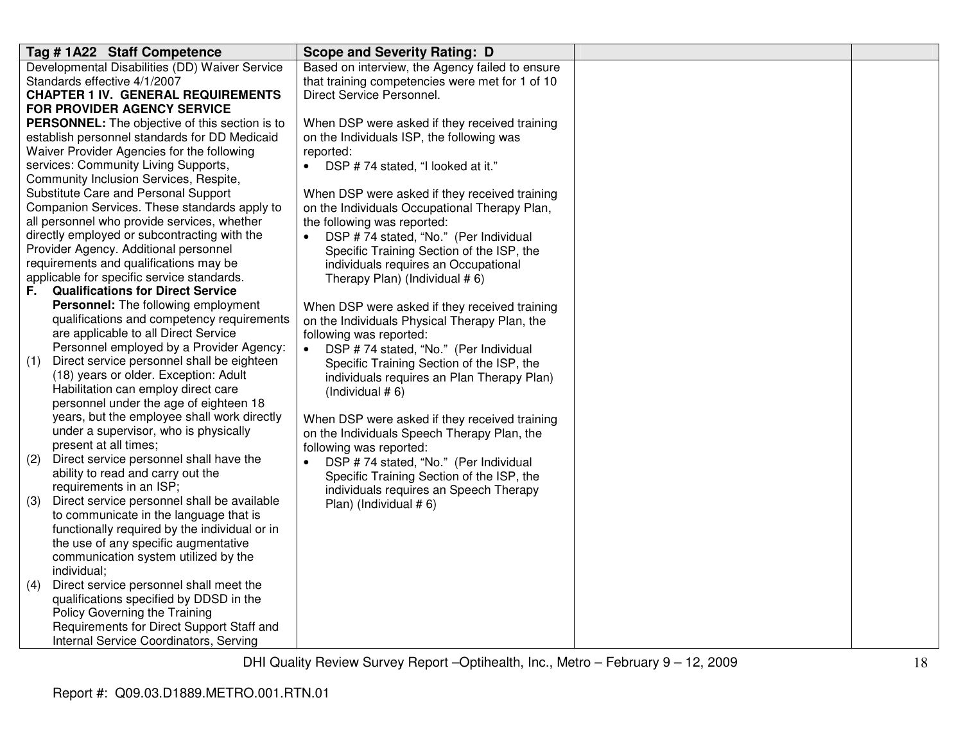| Tag #1A22 Staff Competence                                                                   | <b>Scope and Severity Rating: D</b>             |  |
|----------------------------------------------------------------------------------------------|-------------------------------------------------|--|
| Developmental Disabilities (DD) Waiver Service                                               | Based on interview, the Agency failed to ensure |  |
| Standards effective 4/1/2007                                                                 | that training competencies were met for 1 of 10 |  |
| <b>CHAPTER 1 IV. GENERAL REQUIREMENTS</b>                                                    | Direct Service Personnel.                       |  |
| <b>FOR PROVIDER AGENCY SERVICE</b>                                                           |                                                 |  |
| <b>PERSONNEL:</b> The objective of this section is to                                        | When DSP were asked if they received training   |  |
| establish personnel standards for DD Medicaid                                                | on the Individuals ISP, the following was       |  |
| Waiver Provider Agencies for the following                                                   | reported:                                       |  |
| services: Community Living Supports,                                                         | • DSP #74 stated, "I looked at it."             |  |
| Community Inclusion Services, Respite,                                                       |                                                 |  |
| Substitute Care and Personal Support                                                         | When DSP were asked if they received training   |  |
| Companion Services. These standards apply to                                                 | on the Individuals Occupational Therapy Plan,   |  |
| all personnel who provide services, whether                                                  | the following was reported:                     |  |
| directly employed or subcontracting with the                                                 | DSP #74 stated, "No." (Per Individual           |  |
| Provider Agency. Additional personnel                                                        | Specific Training Section of the ISP, the       |  |
| requirements and qualifications may be                                                       | individuals requires an Occupational            |  |
| applicable for specific service standards.                                                   | Therapy Plan) (Individual #6)                   |  |
| <b>Qualifications for Direct Service</b><br>F.                                               |                                                 |  |
| Personnel: The following employment                                                          | When DSP were asked if they received training   |  |
| qualifications and competency requirements                                                   | on the Individuals Physical Therapy Plan, the   |  |
| are applicable to all Direct Service                                                         | following was reported:                         |  |
| Personnel employed by a Provider Agency:                                                     | DSP #74 stated, "No." (Per Individual           |  |
| Direct service personnel shall be eighteen<br>(1)                                            | Specific Training Section of the ISP, the       |  |
| (18) years or older. Exception: Adult                                                        | individuals requires an Plan Therapy Plan)      |  |
| Habilitation can employ direct care                                                          | (Individual $# 6$ )                             |  |
| personnel under the age of eighteen 18                                                       |                                                 |  |
| years, but the employee shall work directly                                                  | When DSP were asked if they received training   |  |
| under a supervisor, who is physically                                                        | on the Individuals Speech Therapy Plan, the     |  |
| present at all times;                                                                        | following was reported:                         |  |
| Direct service personnel shall have the<br>(2)                                               | DSP #74 stated, "No." (Per Individual           |  |
| ability to read and carry out the                                                            | Specific Training Section of the ISP, the       |  |
| requirements in an ISP;                                                                      | individuals requires an Speech Therapy          |  |
| Direct service personnel shall be available<br>(3)<br>to communicate in the language that is | Plan) (Individual #6)                           |  |
| functionally required by the individual or in                                                |                                                 |  |
| the use of any specific augmentative                                                         |                                                 |  |
| communication system utilized by the                                                         |                                                 |  |
| individual;                                                                                  |                                                 |  |
| Direct service personnel shall meet the<br>(4)                                               |                                                 |  |
| qualifications specified by DDSD in the                                                      |                                                 |  |
| Policy Governing the Training                                                                |                                                 |  |
| Requirements for Direct Support Staff and                                                    |                                                 |  |
| Internal Service Coordinators, Serving                                                       |                                                 |  |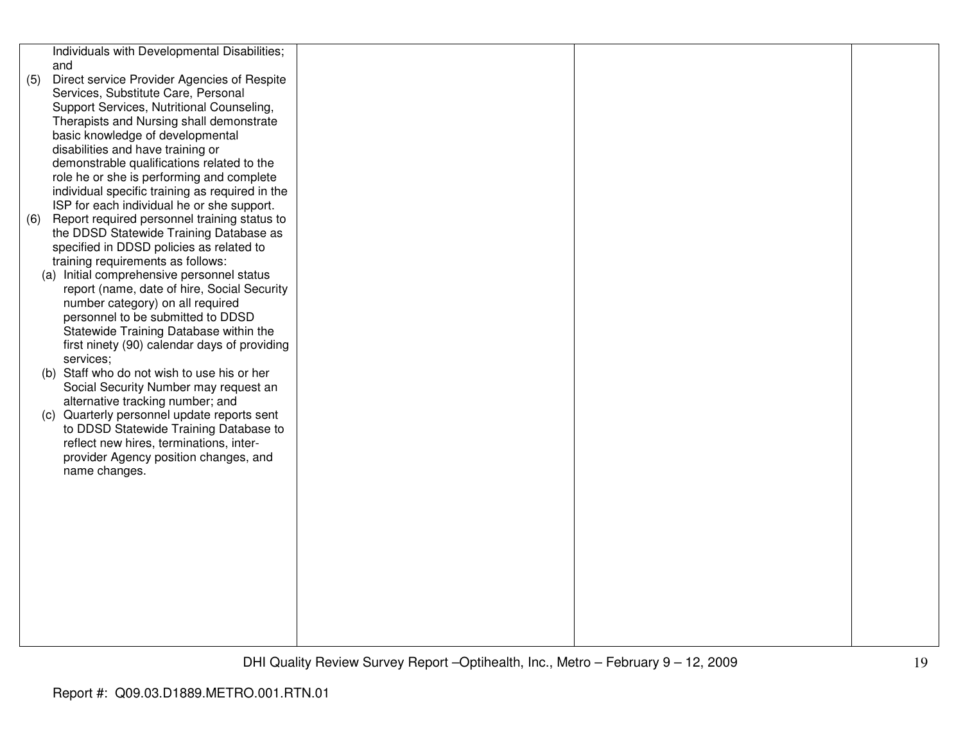|     | Individuals with Developmental Disabilities;    |  |  |
|-----|-------------------------------------------------|--|--|
|     | and                                             |  |  |
| (5) | Direct service Provider Agencies of Respite     |  |  |
|     | Services, Substitute Care, Personal             |  |  |
|     | Support Services, Nutritional Counseling,       |  |  |
|     | Therapists and Nursing shall demonstrate        |  |  |
|     | basic knowledge of developmental                |  |  |
|     | disabilities and have training or               |  |  |
|     | demonstrable qualifications related to the      |  |  |
|     | role he or she is performing and complete       |  |  |
|     | individual specific training as required in the |  |  |
|     | ISP for each individual he or she support.      |  |  |
| (6) | Report required personnel training status to    |  |  |
|     | the DDSD Statewide Training Database as         |  |  |
|     | specified in DDSD policies as related to        |  |  |
|     | training requirements as follows:               |  |  |
|     | (a) Initial comprehensive personnel status      |  |  |
|     | report (name, date of hire, Social Security     |  |  |
|     | number category) on all required                |  |  |
|     | personnel to be submitted to DDSD               |  |  |
|     | Statewide Training Database within the          |  |  |
|     | first ninety (90) calendar days of providing    |  |  |
|     | services;                                       |  |  |
|     | (b) Staff who do not wish to use his or her     |  |  |
|     | Social Security Number may request an           |  |  |
|     | alternative tracking number; and                |  |  |
|     | (c) Quarterly personnel update reports sent     |  |  |
|     | to DDSD Statewide Training Database to          |  |  |
|     | reflect new hires, terminations, inter-         |  |  |
|     | provider Agency position changes, and           |  |  |
|     | name changes.                                   |  |  |
|     |                                                 |  |  |
|     |                                                 |  |  |
|     |                                                 |  |  |
|     |                                                 |  |  |
|     |                                                 |  |  |
|     |                                                 |  |  |
|     |                                                 |  |  |
|     |                                                 |  |  |
|     |                                                 |  |  |
|     |                                                 |  |  |
|     |                                                 |  |  |
|     |                                                 |  |  |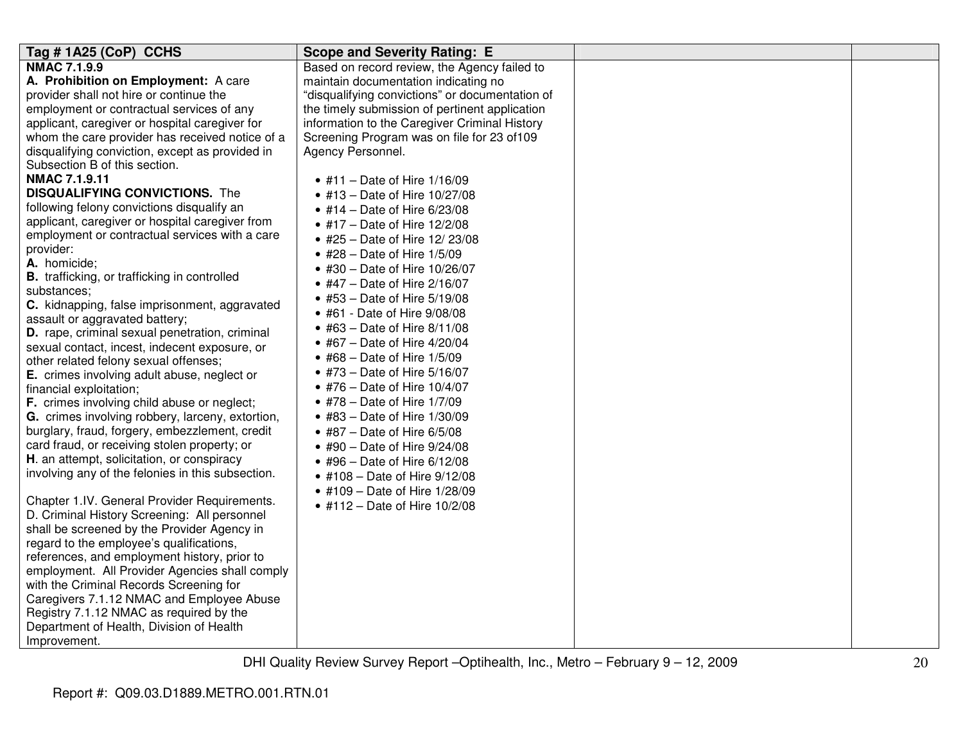| <b>NMAC 7.1.9.9</b><br>Based on record review, the Agency failed to<br>A. Prohibition on Employment: A care<br>maintain documentation indicating no<br>provider shall not hire or continue the<br>"disqualifying convictions" or documentation of<br>employment or contractual services of any<br>the timely submission of pertinent application<br>applicant, caregiver or hospital caregiver for<br>information to the Caregiver Criminal History<br>whom the care provider has received notice of a<br>Screening Program was on file for 23 of 109<br>disqualifying conviction, except as provided in<br>Agency Personnel.<br>Subsection B of this section.<br><b>NMAC 7.1.9.11</b><br>• #11 – Date of Hire $1/16/09$<br><b>DISQUALIFYING CONVICTIONS.</b> The<br>• #13 - Date of Hire 10/27/08<br>following felony convictions disqualify an<br>• #14 – Date of Hire 6/23/08<br>applicant, caregiver or hospital caregiver from<br>• #17 – Date of Hire $12/2/08$<br>employment or contractual services with a care<br>• #25 - Date of Hire 12/23/08<br>provider:<br>$\bullet$ #28 - Date of Hire 1/5/09<br>A. homicide;<br>• #30 - Date of Hire 10/26/07<br><b>B.</b> trafficking, or trafficking in controlled<br>• #47 – Date of Hire $2/16/07$<br>substances:<br>• #53 – Date of Hire $5/19/08$<br>C. kidnapping, false imprisonment, aggravated<br>• #61 - Date of Hire 9/08/08<br>assault or aggravated battery;<br>• #63 – Date of Hire $8/11/08$<br>D. rape, criminal sexual penetration, criminal<br>• #67 - Date of Hire 4/20/04<br>sexual contact, incest, indecent exposure, or<br>• #68 – Date of Hire $1/5/09$<br>other related felony sexual offenses; |
|---------------------------------------------------------------------------------------------------------------------------------------------------------------------------------------------------------------------------------------------------------------------------------------------------------------------------------------------------------------------------------------------------------------------------------------------------------------------------------------------------------------------------------------------------------------------------------------------------------------------------------------------------------------------------------------------------------------------------------------------------------------------------------------------------------------------------------------------------------------------------------------------------------------------------------------------------------------------------------------------------------------------------------------------------------------------------------------------------------------------------------------------------------------------------------------------------------------------------------------------------------------------------------------------------------------------------------------------------------------------------------------------------------------------------------------------------------------------------------------------------------------------------------------------------------------------------------------------------------------------------------------------------------------------------|
| • #73 – Date of Hire 5/16/07<br>E. crimes involving adult abuse, neglect or<br>• #76 – Date of Hire $10/4/07$<br>financial exploitation;<br>F. crimes involving child abuse or neglect;<br>• #78 – Date of Hire $1/7/09$<br>G. crimes involving robbery, larceny, extortion,<br>• #83 – Date of Hire $1/30/09$<br>burglary, fraud, forgery, embezzlement, credit<br>• #87 – Date of Hire $6/5/08$<br>card fraud, or receiving stolen property; or<br>• #90 – Date of Hire $9/24/08$<br>H. an attempt, solicitation, or conspiracy<br>• #96 – Date of Hire $6/12/08$<br>involving any of the felonies in this subsection.<br>• #108 – Date of Hire $9/12/08$<br>• #109 – Date of Hire 1/28/09<br>Chapter 1.IV. General Provider Requirements.<br>• #112 - Date of Hire $10/2/08$<br>D. Criminal History Screening: All personnel<br>shall be screened by the Provider Agency in<br>regard to the employee's qualifications,<br>references, and employment history, prior to<br>employment. All Provider Agencies shall comply<br>with the Criminal Records Screening for<br>Caregivers 7.1.12 NMAC and Employee Abuse<br>Registry 7.1.12 NMAC as required by the<br>Department of Health, Division of Health                                                                                                                                                                                                                                                                                                                                                                                                                                                               |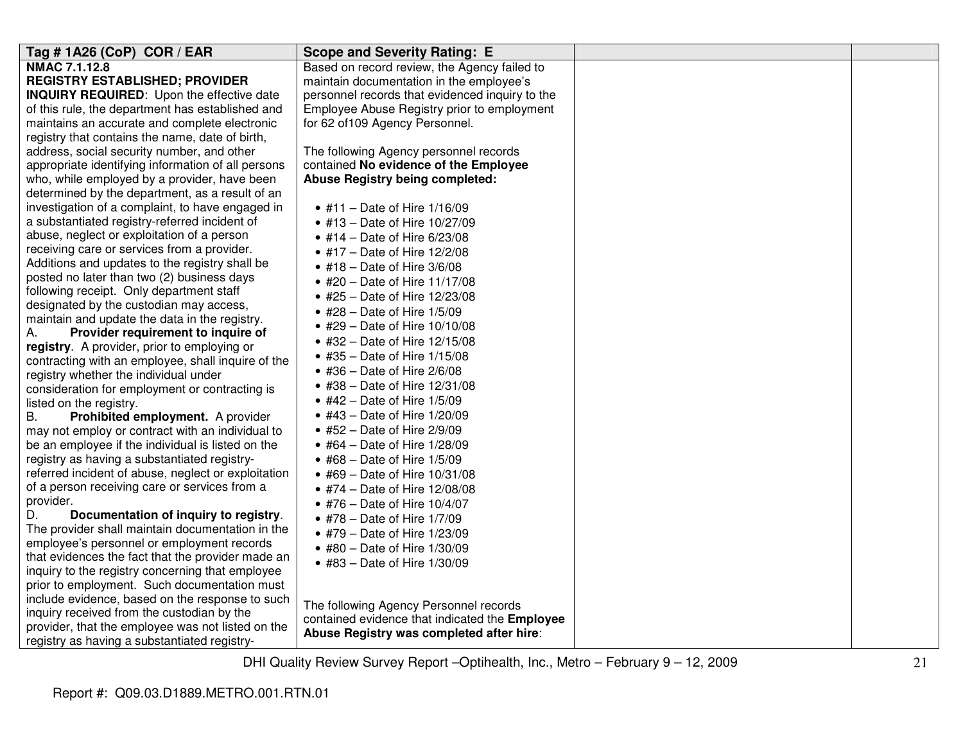| Tag # 1A26 (CoP) COR / EAR                          | <b>Scope and Severity Rating: E</b>             |  |
|-----------------------------------------------------|-------------------------------------------------|--|
| NMAC 7.1.12.8                                       | Based on record review, the Agency failed to    |  |
| <b>REGISTRY ESTABLISHED; PROVIDER</b>               | maintain documentation in the employee's        |  |
| <b>INQUIRY REQUIRED:</b> Upon the effective date    | personnel records that evidenced inquiry to the |  |
| of this rule, the department has established and    | Employee Abuse Registry prior to employment     |  |
| maintains an accurate and complete electronic       | for 62 of 109 Agency Personnel.                 |  |
| registry that contains the name, date of birth,     |                                                 |  |
| address, social security number, and other          | The following Agency personnel records          |  |
| appropriate identifying information of all persons  | contained No evidence of the Employee           |  |
| who, while employed by a provider, have been        | Abuse Registry being completed:                 |  |
| determined by the department, as a result of an     |                                                 |  |
| investigation of a complaint, to have engaged in    | • #11 - Date of Hire $1/16/09$                  |  |
| a substantiated registry-referred incident of       | • #13 – Date of Hire $10/27/09$                 |  |
| abuse, neglect or exploitation of a person          | • #14 – Date of Hire $6/23/08$                  |  |
| receiving care or services from a provider.         | • #17 – Date of Hire $12/2/08$                  |  |
| Additions and updates to the registry shall be      | $\bullet$ #18 - Date of Hire 3/6/08             |  |
| posted no later than two (2) business days          | • #20 – Date of Hire $11/17/08$                 |  |
| following receipt. Only department staff            | • #25 – Date of Hire $12/23/08$                 |  |
| designated by the custodian may access,             | • #28 - Date of Hire 1/5/09                     |  |
| maintain and update the data in the registry.       | • #29 – Date of Hire $10/10/08$                 |  |
| Provider requirement to inquire of<br>А.            | • #32 - Date of Hire 12/15/08                   |  |
| registry. A provider, prior to employing or         | • #35 – Date of Hire $1/15/08$                  |  |
| contracting with an employee, shall inquire of the  | $\bullet$ #36 - Date of Hire 2/6/08             |  |
| registry whether the individual under               | • #38 – Date of Hire $12/31/08$                 |  |
| consideration for employment or contracting is      |                                                 |  |
| listed on the registry.                             | • #42 – Date of Hire $1/5/09$                   |  |
| Prohibited employment. A provider<br>В.             | • #43 – Date of Hire $1/20/09$                  |  |
| may not employ or contract with an individual to    | $\bullet$ #52 - Date of Hire 2/9/09             |  |
| be an employee if the individual is listed on the   | • #64 – Date of Hire $1/28/09$                  |  |
| registry as having a substantiated registry-        | • #68 – Date of Hire $1/5/09$                   |  |
| referred incident of abuse, neglect or exploitation | • #69 - Date of Hire 10/31/08                   |  |
| of a person receiving care or services from a       | • #74 – Date of Hire $12/08/08$                 |  |
| provider.                                           | • #76 – Date of Hire $10/4/07$                  |  |
| Documentation of inquiry to registry.<br>D.         | • #78 – Date of Hire $1/7/09$                   |  |
| The provider shall maintain documentation in the    | • #79 - Date of Hire 1/23/09                    |  |
| employee's personnel or employment records          | • #80 - Date of Hire $1/30/09$                  |  |
| that evidences the fact that the provider made an   | • #83 - Date of Hire 1/30/09                    |  |
| inquiry to the registry concerning that employee    |                                                 |  |
| prior to employment. Such documentation must        |                                                 |  |
| include evidence, based on the response to such     | The following Agency Personnel records          |  |
| inquiry received from the custodian by the          | contained evidence that indicated the Employee  |  |
| provider, that the employee was not listed on the   | Abuse Registry was completed after hire:        |  |
| registry as having a substantiated registry-        |                                                 |  |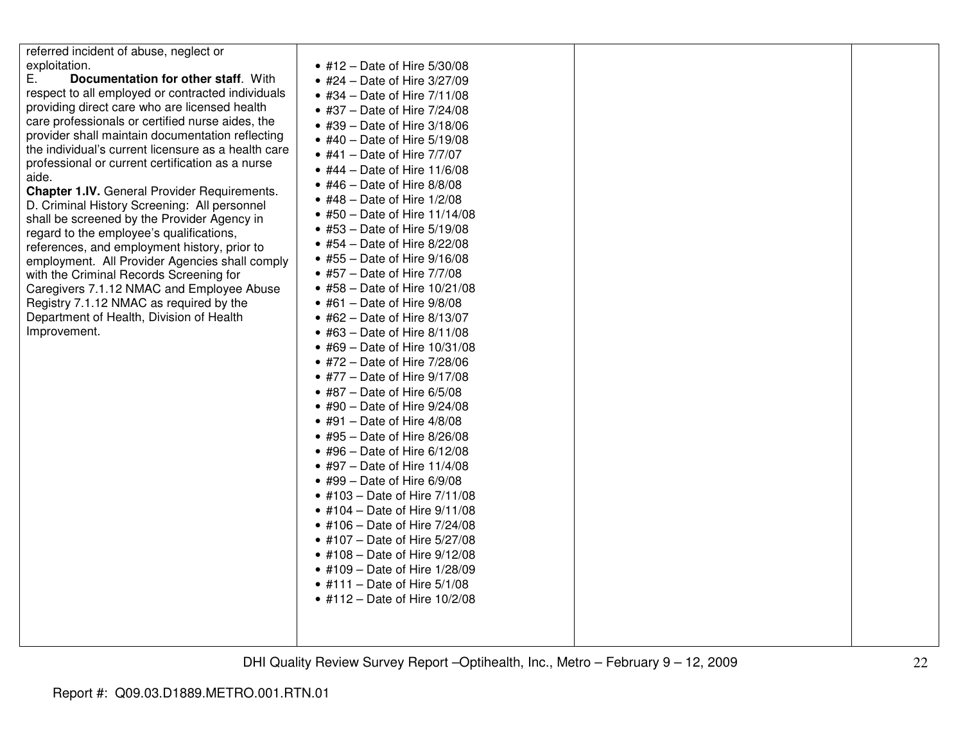| referred incident of abuse, neglect or                                                  |                                     |  |
|-----------------------------------------------------------------------------------------|-------------------------------------|--|
| exploitation.                                                                           | • #12 – Date of Hire 5/30/08        |  |
| Ε.<br>Documentation for other staff. With                                               | • #24 - Date of Hire 3/27/09        |  |
| respect to all employed or contracted individuals                                       | • #34 – Date of Hire $7/11/08$      |  |
| providing direct care who are licensed health                                           | • #37 – Date of Hire $7/24/08$      |  |
| care professionals or certified nurse aides, the                                        | • #39 – Date of Hire $3/18/06$      |  |
| provider shall maintain documentation reflecting                                        | • #40 - Date of Hire 5/19/08        |  |
| the individual's current licensure as a health care                                     | • #41 – Date of Hire $7/7/07$       |  |
| professional or current certification as a nurse                                        | • #44 - Date of Hire $11/6/08$      |  |
| aide.                                                                                   | • #46 – Date of Hire 8/8/08         |  |
| <b>Chapter 1.IV.</b> General Provider Requirements.                                     | • #48 – Date of Hire $1/2/08$       |  |
| D. Criminal History Screening: All personnel                                            | • #50 – Date of Hire $11/14/08$     |  |
| shall be screened by the Provider Agency in<br>regard to the employee's qualifications, | • #53 - Date of Hire 5/19/08        |  |
| references, and employment history, prior to                                            | • #54 – Date of Hire $8/22/08$      |  |
| employment. All Provider Agencies shall comply                                          | • #55 – Date of Hire $9/16/08$      |  |
| with the Criminal Records Screening for                                                 | • #57 – Date of Hire $7/7/08$       |  |
| Caregivers 7.1.12 NMAC and Employee Abuse                                               | • #58 – Date of Hire $10/21/08$     |  |
| Registry 7.1.12 NMAC as required by the                                                 | $\bullet$ #61 - Date of Hire 9/8/08 |  |
| Department of Health, Division of Health                                                | • #62 – Date of Hire $8/13/07$      |  |
| Improvement.                                                                            | • #63 – Date of Hire $8/11/08$      |  |
|                                                                                         | • #69 - Date of Hire 10/31/08       |  |
|                                                                                         | • #72 - Date of Hire 7/28/06        |  |
|                                                                                         | • #77 - Date of Hire 9/17/08        |  |
|                                                                                         | $\bullet$ #87 – Date of Hire 6/5/08 |  |
|                                                                                         | • #90 - Date of Hire $9/24/08$      |  |
|                                                                                         | $\bullet$ #91 - Date of Hire 4/8/08 |  |
|                                                                                         | • #95 - Date of Hire 8/26/08        |  |
|                                                                                         | • #96 – Date of Hire $6/12/08$      |  |
|                                                                                         | • #97 – Date of Hire $11/4/08$      |  |
|                                                                                         | $\bullet$ #99 - Date of Hire 6/9/08 |  |
|                                                                                         | • #103 - Date of Hire 7/11/08       |  |
|                                                                                         | • #104 - Date of Hire $9/11/08$     |  |
|                                                                                         | • #106 – Date of Hire $7/24/08$     |  |
|                                                                                         | • #107 - Date of Hire 5/27/08       |  |
|                                                                                         | • #108 - Date of Hire 9/12/08       |  |
|                                                                                         | • #109 - Date of Hire 1/28/09       |  |
|                                                                                         | • #111 - Date of Hire $5/1/08$      |  |
|                                                                                         | • #112 – Date of Hire $10/2/08$     |  |
|                                                                                         |                                     |  |
|                                                                                         |                                     |  |
|                                                                                         |                                     |  |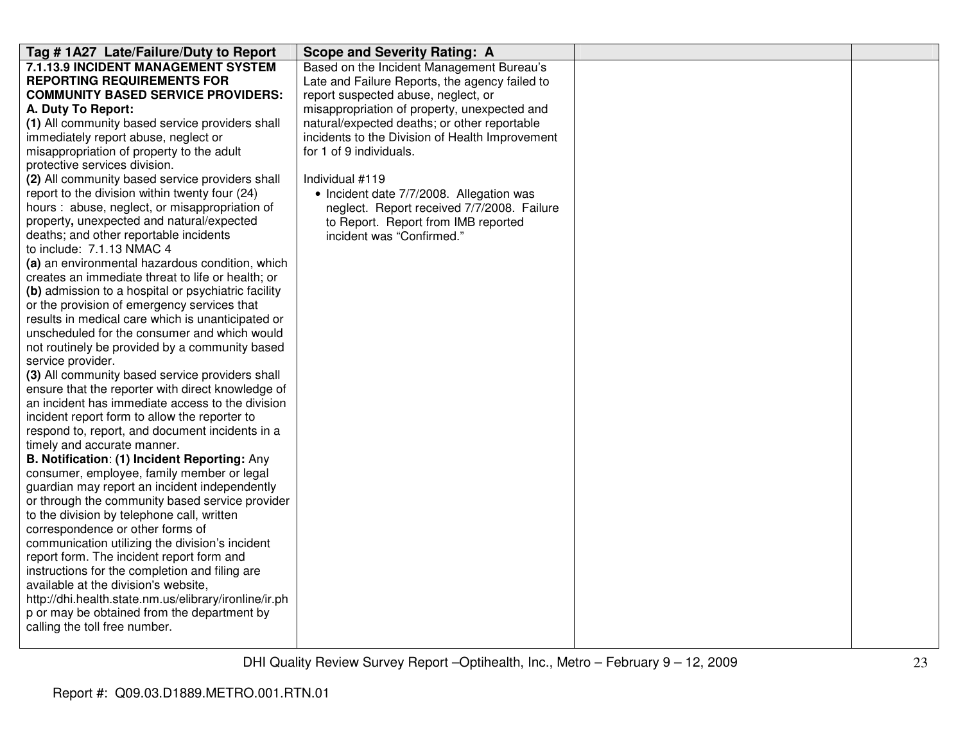| Tag #1A27 Late/Failure/Duty to Report                 | <b>Scope and Severity Rating: A</b>             |  |
|-------------------------------------------------------|-------------------------------------------------|--|
| 7.1.13.9 INCIDENT MANAGEMENT SYSTEM                   | Based on the Incident Management Bureau's       |  |
| <b>REPORTING REQUIREMENTS FOR</b>                     | Late and Failure Reports, the agency failed to  |  |
| <b>COMMUNITY BASED SERVICE PROVIDERS:</b>             | report suspected abuse, neglect, or             |  |
| A. Duty To Report:                                    | misappropriation of property, unexpected and    |  |
| (1) All community based service providers shall       | natural/expected deaths; or other reportable    |  |
| immediately report abuse, neglect or                  | incidents to the Division of Health Improvement |  |
| misappropriation of property to the adult             | for 1 of 9 individuals.                         |  |
| protective services division.                         |                                                 |  |
| (2) All community based service providers shall       | Individual #119                                 |  |
| report to the division within twenty four (24)        | • Incident date 7/7/2008. Allegation was        |  |
| hours: abuse, neglect, or misappropriation of         | neglect. Report received 7/7/2008. Failure      |  |
| property, unexpected and natural/expected             | to Report. Report from IMB reported             |  |
| deaths; and other reportable incidents                | incident was "Confirmed."                       |  |
| to include: 7.1.13 NMAC 4                             |                                                 |  |
| (a) an environmental hazardous condition, which       |                                                 |  |
| creates an immediate threat to life or health; or     |                                                 |  |
| (b) admission to a hospital or psychiatric facility   |                                                 |  |
| or the provision of emergency services that           |                                                 |  |
| results in medical care which is unanticipated or     |                                                 |  |
| unscheduled for the consumer and which would          |                                                 |  |
| not routinely be provided by a community based        |                                                 |  |
| service provider.                                     |                                                 |  |
| (3) All community based service providers shall       |                                                 |  |
| ensure that the reporter with direct knowledge of     |                                                 |  |
| an incident has immediate access to the division      |                                                 |  |
| incident report form to allow the reporter to         |                                                 |  |
| respond to, report, and document incidents in a       |                                                 |  |
| timely and accurate manner.                           |                                                 |  |
| B. Notification: (1) Incident Reporting: Any          |                                                 |  |
| consumer, employee, family member or legal            |                                                 |  |
| guardian may report an incident independently         |                                                 |  |
| or through the community based service provider       |                                                 |  |
| to the division by telephone call, written            |                                                 |  |
| correspondence or other forms of                      |                                                 |  |
| communication utilizing the division's incident       |                                                 |  |
| report form. The incident report form and             |                                                 |  |
| instructions for the completion and filing are        |                                                 |  |
| available at the division's website,                  |                                                 |  |
| http://dhi.health.state.nm.us/elibrary/ironline/ir.ph |                                                 |  |
| p or may be obtained from the department by           |                                                 |  |
| calling the toll free number.                         |                                                 |  |
|                                                       |                                                 |  |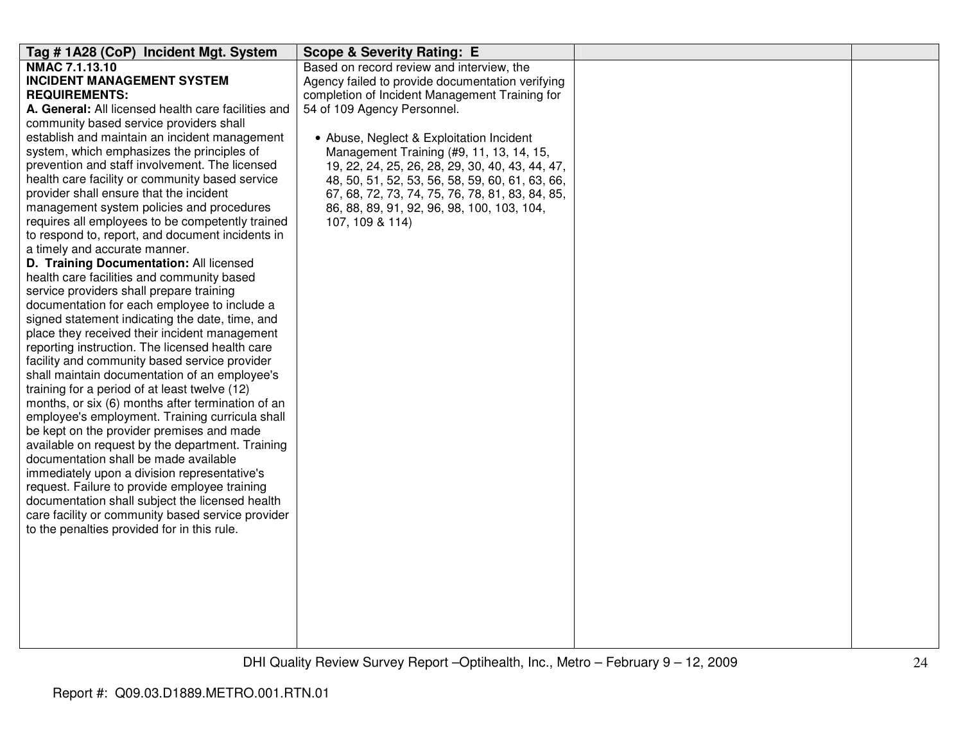| Tag #1A28 (CoP) Incident Mgt. System                | <b>Scope &amp; Severity Rating: E</b>            |  |
|-----------------------------------------------------|--------------------------------------------------|--|
| NMAC 7.1.13.10                                      | Based on record review and interview, the        |  |
| <b>INCIDENT MANAGEMENT SYSTEM</b>                   | Agency failed to provide documentation verifying |  |
| <b>REQUIREMENTS:</b>                                | completion of Incident Management Training for   |  |
| A. General: All licensed health care facilities and | 54 of 109 Agency Personnel.                      |  |
| community based service providers shall             |                                                  |  |
| establish and maintain an incident management       | • Abuse, Neglect & Exploitation Incident         |  |
| system, which emphasizes the principles of          | Management Training (#9, 11, 13, 14, 15,         |  |
| prevention and staff involvement. The licensed      | 19, 22, 24, 25, 26, 28, 29, 30, 40, 43, 44, 47,  |  |
| health care facility or community based service     | 48, 50, 51, 52, 53, 56, 58, 59, 60, 61, 63, 66,  |  |
| provider shall ensure that the incident             | 67, 68, 72, 73, 74, 75, 76, 78, 81, 83, 84, 85,  |  |
| management system policies and procedures           | 86, 88, 89, 91, 92, 96, 98, 100, 103, 104,       |  |
| requires all employees to be competently trained    | 107, 109 & 114)                                  |  |
| to respond to, report, and document incidents in    |                                                  |  |
| a timely and accurate manner.                       |                                                  |  |
| D. Training Documentation: All licensed             |                                                  |  |
| health care facilities and community based          |                                                  |  |
| service providers shall prepare training            |                                                  |  |
| documentation for each employee to include a        |                                                  |  |
| signed statement indicating the date, time, and     |                                                  |  |
| place they received their incident management       |                                                  |  |
| reporting instruction. The licensed health care     |                                                  |  |
| facility and community based service provider       |                                                  |  |
| shall maintain documentation of an employee's       |                                                  |  |
| training for a period of at least twelve (12)       |                                                  |  |
| months, or six (6) months after termination of an   |                                                  |  |
| employee's employment. Training curricula shall     |                                                  |  |
| be kept on the provider premises and made           |                                                  |  |
| available on request by the department. Training    |                                                  |  |
| documentation shall be made available               |                                                  |  |
| immediately upon a division representative's        |                                                  |  |
| request. Failure to provide employee training       |                                                  |  |
| documentation shall subject the licensed health     |                                                  |  |
| care facility or community based service provider   |                                                  |  |
| to the penalties provided for in this rule.         |                                                  |  |
|                                                     |                                                  |  |
|                                                     |                                                  |  |
|                                                     |                                                  |  |
|                                                     |                                                  |  |
|                                                     |                                                  |  |
|                                                     |                                                  |  |
|                                                     |                                                  |  |
|                                                     |                                                  |  |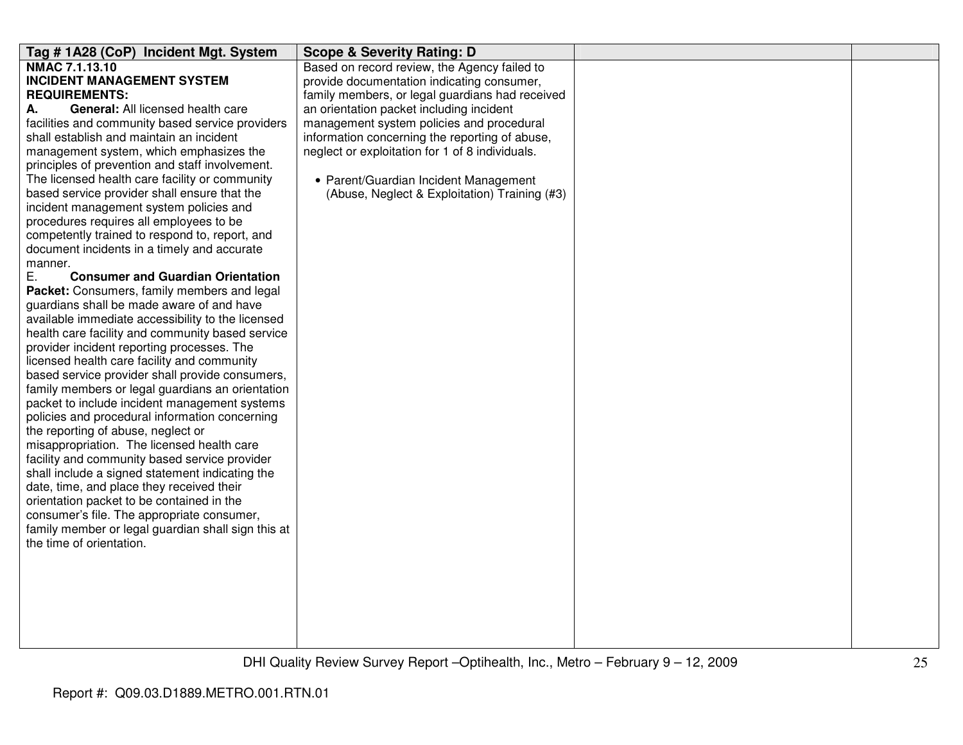| Tag #1A28 (CoP) Incident Mgt. System                                                             | <b>Scope &amp; Severity Rating: D</b>           |  |
|--------------------------------------------------------------------------------------------------|-------------------------------------------------|--|
| NMAC 7.1.13.10                                                                                   | Based on record review, the Agency failed to    |  |
| <b>INCIDENT MANAGEMENT SYSTEM</b>                                                                | provide documentation indicating consumer,      |  |
| <b>REQUIREMENTS:</b>                                                                             | family members, or legal guardians had received |  |
| <b>General: All licensed health care</b><br>А.                                                   | an orientation packet including incident        |  |
| facilities and community based service providers                                                 | management system policies and procedural       |  |
| shall establish and maintain an incident                                                         | information concerning the reporting of abuse,  |  |
| management system, which emphasizes the                                                          | neglect or exploitation for 1 of 8 individuals. |  |
| principles of prevention and staff involvement.                                                  |                                                 |  |
| The licensed health care facility or community                                                   | • Parent/Guardian Incident Management           |  |
| based service provider shall ensure that the                                                     | (Abuse, Neglect & Exploitation) Training (#3)   |  |
| incident management system policies and                                                          |                                                 |  |
| procedures requires all employees to be                                                          |                                                 |  |
| competently trained to respond to, report, and                                                   |                                                 |  |
| document incidents in a timely and accurate                                                      |                                                 |  |
| manner.                                                                                          |                                                 |  |
| Ε.<br><b>Consumer and Guardian Orientation</b>                                                   |                                                 |  |
| Packet: Consumers, family members and legal                                                      |                                                 |  |
| guardians shall be made aware of and have                                                        |                                                 |  |
| available immediate accessibility to the licensed                                                |                                                 |  |
| health care facility and community based service                                                 |                                                 |  |
| provider incident reporting processes. The                                                       |                                                 |  |
| licensed health care facility and community                                                      |                                                 |  |
| based service provider shall provide consumers,                                                  |                                                 |  |
| family members or legal guardians an orientation                                                 |                                                 |  |
| packet to include incident management systems                                                    |                                                 |  |
| policies and procedural information concerning                                                   |                                                 |  |
| the reporting of abuse, neglect or                                                               |                                                 |  |
| misappropriation. The licensed health care                                                       |                                                 |  |
| facility and community based service provider<br>shall include a signed statement indicating the |                                                 |  |
| date, time, and place they received their                                                        |                                                 |  |
| orientation packet to be contained in the                                                        |                                                 |  |
| consumer's file. The appropriate consumer,                                                       |                                                 |  |
| family member or legal guardian shall sign this at                                               |                                                 |  |
| the time of orientation.                                                                         |                                                 |  |
|                                                                                                  |                                                 |  |
|                                                                                                  |                                                 |  |
|                                                                                                  |                                                 |  |
|                                                                                                  |                                                 |  |
|                                                                                                  |                                                 |  |
|                                                                                                  |                                                 |  |
|                                                                                                  |                                                 |  |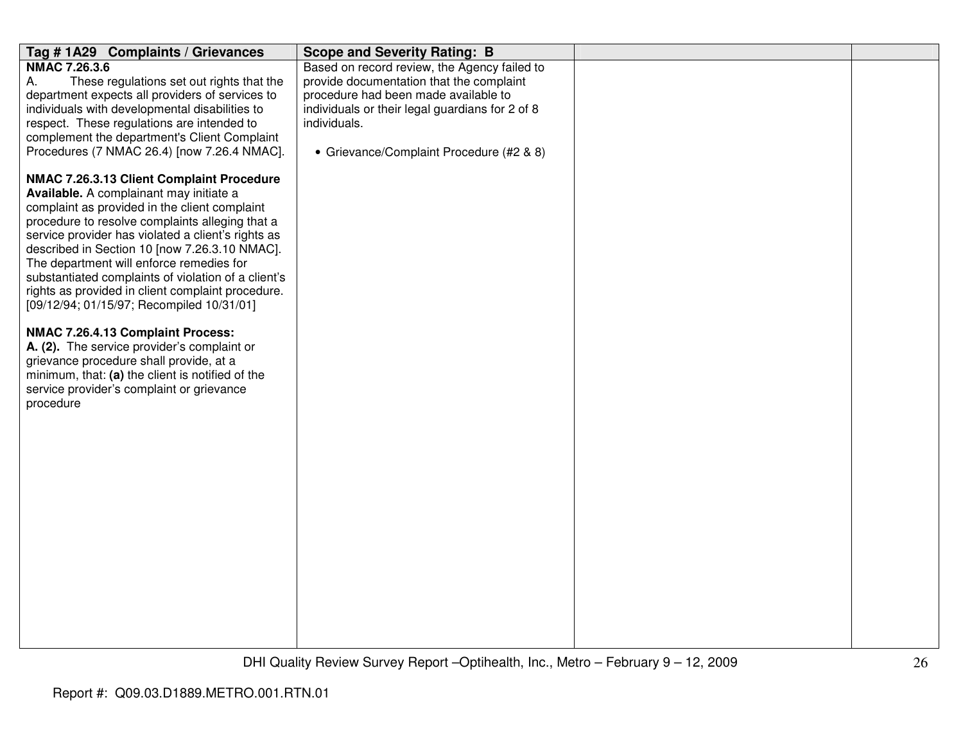| Tag #1A29 Complaints / Grievances                                                                                                                                                                                                                                                                                                                                                                                                                                                                    | <b>Scope and Severity Rating: B</b>                                                                                                                                                                                                             |  |
|------------------------------------------------------------------------------------------------------------------------------------------------------------------------------------------------------------------------------------------------------------------------------------------------------------------------------------------------------------------------------------------------------------------------------------------------------------------------------------------------------|-------------------------------------------------------------------------------------------------------------------------------------------------------------------------------------------------------------------------------------------------|--|
| <b>NMAC 7.26.3.6</b><br>These regulations set out rights that the<br>А.<br>department expects all providers of services to<br>individuals with developmental disabilities to<br>respect. These regulations are intended to<br>complement the department's Client Complaint<br>Procedures (7 NMAC 26.4) [now 7.26.4 NMAC].                                                                                                                                                                            | Based on record review, the Agency failed to<br>provide documentation that the complaint<br>procedure had been made available to<br>individuals or their legal guardians for 2 of 8<br>individuals.<br>• Grievance/Complaint Procedure (#2 & 8) |  |
| NMAC 7.26.3.13 Client Complaint Procedure<br>Available. A complainant may initiate a<br>complaint as provided in the client complaint<br>procedure to resolve complaints alleging that a<br>service provider has violated a client's rights as<br>described in Section 10 [now 7.26.3.10 NMAC].<br>The department will enforce remedies for<br>substantiated complaints of violation of a client's<br>rights as provided in client complaint procedure.<br>[09/12/94; 01/15/97; Recompiled 10/31/01] |                                                                                                                                                                                                                                                 |  |
| NMAC 7.26.4.13 Complaint Process:<br>A. (2). The service provider's complaint or<br>grievance procedure shall provide, at a<br>minimum, that: (a) the client is notified of the<br>service provider's complaint or grievance<br>procedure                                                                                                                                                                                                                                                            |                                                                                                                                                                                                                                                 |  |
|                                                                                                                                                                                                                                                                                                                                                                                                                                                                                                      |                                                                                                                                                                                                                                                 |  |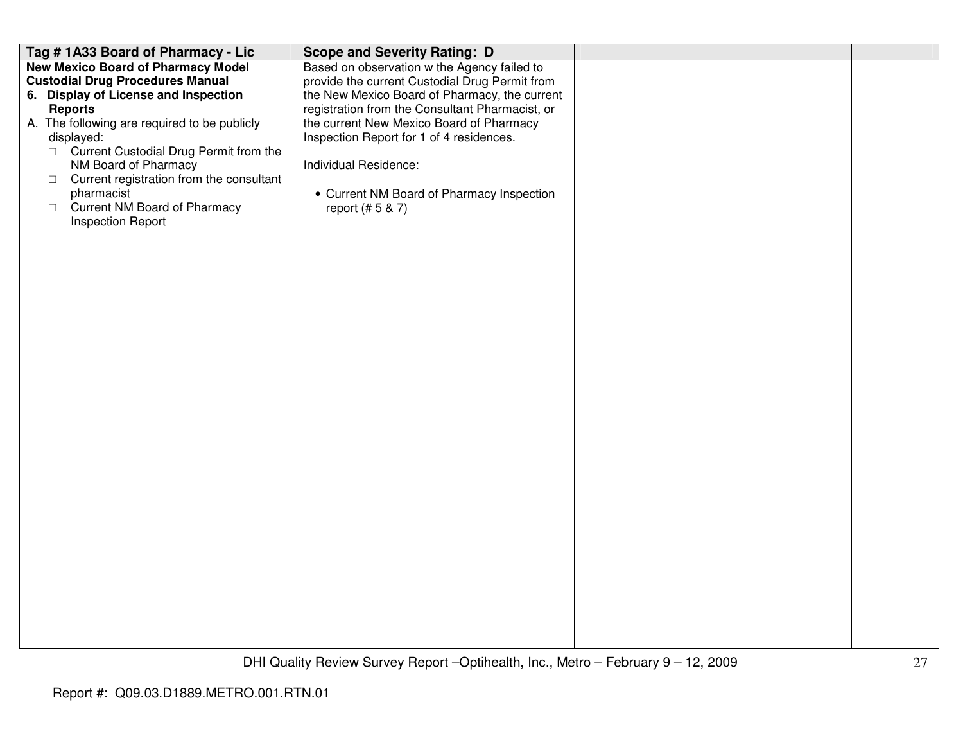| Tag #1A33 Board of Pharmacy - Lic                                                                                                                                                                                                                                                                                                                                                                                  | <b>Scope and Severity Rating: D</b>                                                                                                                                                                                                                                                                                                                                                 |  |
|--------------------------------------------------------------------------------------------------------------------------------------------------------------------------------------------------------------------------------------------------------------------------------------------------------------------------------------------------------------------------------------------------------------------|-------------------------------------------------------------------------------------------------------------------------------------------------------------------------------------------------------------------------------------------------------------------------------------------------------------------------------------------------------------------------------------|--|
| <b>New Mexico Board of Pharmacy Model</b><br><b>Custodial Drug Procedures Manual</b><br>6. Display of License and Inspection<br><b>Reports</b><br>A. The following are required to be publicly<br>displayed:<br>□ Current Custodial Drug Permit from the<br>NM Board of Pharmacy<br>Current registration from the consultant<br>$\Box$<br>pharmacist<br>□ Current NM Board of Pharmacy<br><b>Inspection Report</b> | Based on observation w the Agency failed to<br>provide the current Custodial Drug Permit from<br>the New Mexico Board of Pharmacy, the current<br>registration from the Consultant Pharmacist, or<br>the current New Mexico Board of Pharmacy<br>Inspection Report for 1 of 4 residences.<br>Individual Residence:<br>• Current NM Board of Pharmacy Inspection<br>report (# 5 & 7) |  |
|                                                                                                                                                                                                                                                                                                                                                                                                                    |                                                                                                                                                                                                                                                                                                                                                                                     |  |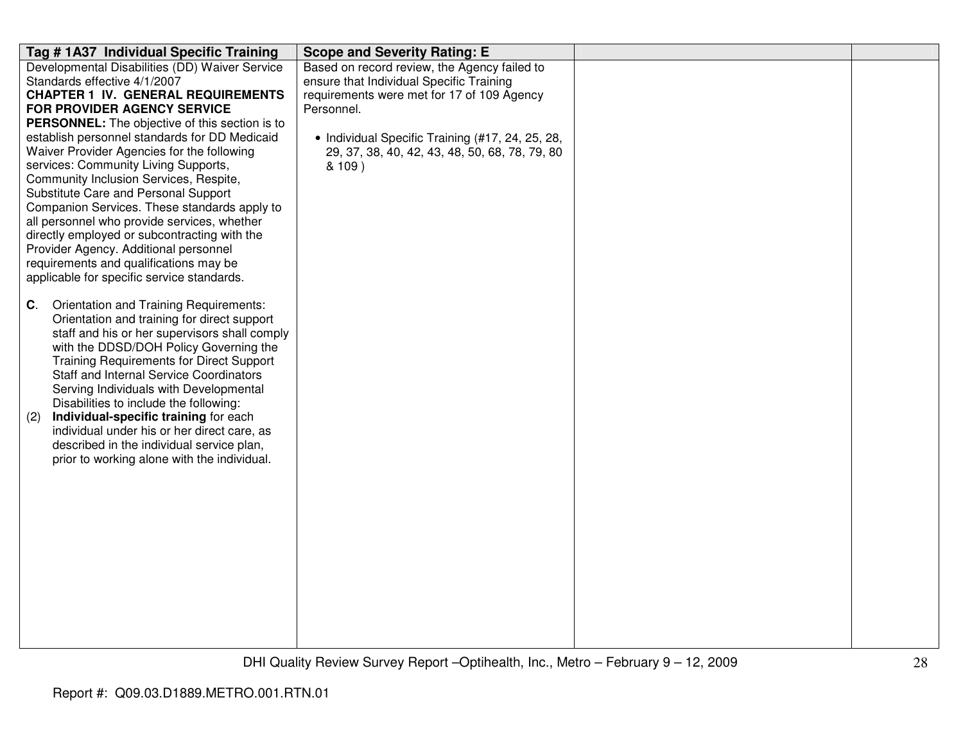| Tag #1A37 Individual Specific Training                                                  | <b>Scope and Severity Rating: E</b>              |  |
|-----------------------------------------------------------------------------------------|--------------------------------------------------|--|
| Developmental Disabilities (DD) Waiver Service                                          | Based on record review, the Agency failed to     |  |
| Standards effective 4/1/2007                                                            | ensure that Individual Specific Training         |  |
| <b>CHAPTER 1 IV. GENERAL REQUIREMENTS</b>                                               | requirements were met for 17 of 109 Agency       |  |
| <b>FOR PROVIDER AGENCY SERVICE</b>                                                      | Personnel.                                       |  |
| PERSONNEL: The objective of this section is to                                          |                                                  |  |
| establish personnel standards for DD Medicaid                                           | • Individual Specific Training (#17, 24, 25, 28, |  |
| Waiver Provider Agencies for the following                                              | 29, 37, 38, 40, 42, 43, 48, 50, 68, 78, 79, 80   |  |
| services: Community Living Supports,                                                    | & 109)                                           |  |
| Community Inclusion Services, Respite,                                                  |                                                  |  |
| Substitute Care and Personal Support                                                    |                                                  |  |
| Companion Services. These standards apply to                                            |                                                  |  |
| all personnel who provide services, whether                                             |                                                  |  |
| directly employed or subcontracting with the                                            |                                                  |  |
| Provider Agency. Additional personnel                                                   |                                                  |  |
| requirements and qualifications may be                                                  |                                                  |  |
| applicable for specific service standards.                                              |                                                  |  |
|                                                                                         |                                                  |  |
| Orientation and Training Requirements:<br>C.                                            |                                                  |  |
| Orientation and training for direct support                                             |                                                  |  |
| staff and his or her supervisors shall comply<br>with the DDSD/DOH Policy Governing the |                                                  |  |
| <b>Training Requirements for Direct Support</b>                                         |                                                  |  |
| <b>Staff and Internal Service Coordinators</b>                                          |                                                  |  |
| Serving Individuals with Developmental                                                  |                                                  |  |
| Disabilities to include the following:                                                  |                                                  |  |
| Individual-specific training for each<br>(2)                                            |                                                  |  |
| individual under his or her direct care, as                                             |                                                  |  |
| described in the individual service plan,                                               |                                                  |  |
| prior to working alone with the individual.                                             |                                                  |  |
|                                                                                         |                                                  |  |
|                                                                                         |                                                  |  |
|                                                                                         |                                                  |  |
|                                                                                         |                                                  |  |
|                                                                                         |                                                  |  |
|                                                                                         |                                                  |  |
|                                                                                         |                                                  |  |
|                                                                                         |                                                  |  |
|                                                                                         |                                                  |  |
|                                                                                         |                                                  |  |
|                                                                                         |                                                  |  |
|                                                                                         |                                                  |  |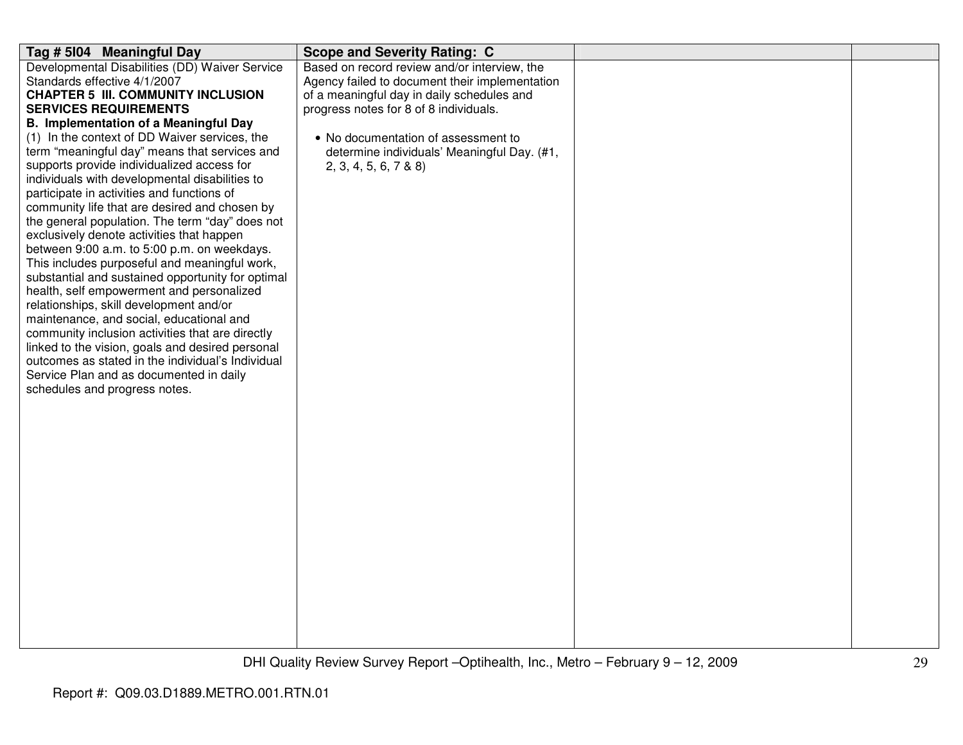| Tag # 5104 Meaningful Day                                                                     | <b>Scope and Severity Rating: C</b>                                                |  |
|-----------------------------------------------------------------------------------------------|------------------------------------------------------------------------------------|--|
| Developmental Disabilities (DD) Waiver Service                                                | Based on record review and/or interview, the                                       |  |
| Standards effective 4/1/2007                                                                  | Agency failed to document their implementation                                     |  |
| <b>CHAPTER 5 III. COMMUNITY INCLUSION</b>                                                     | of a meaningful day in daily schedules and                                         |  |
| <b>SERVICES REQUIREMENTS</b>                                                                  | progress notes for 8 of 8 individuals.                                             |  |
| <b>B. Implementation of a Meaningful Day</b><br>(1) In the context of DD Waiver services, the |                                                                                    |  |
| term "meaningful day" means that services and                                                 | • No documentation of assessment to<br>determine individuals' Meaningful Day. (#1, |  |
| supports provide individualized access for                                                    | 2, 3, 4, 5, 6, 7 & 88                                                              |  |
| individuals with developmental disabilities to                                                |                                                                                    |  |
| participate in activities and functions of                                                    |                                                                                    |  |
| community life that are desired and chosen by                                                 |                                                                                    |  |
| the general population. The term "day" does not                                               |                                                                                    |  |
| exclusively denote activities that happen                                                     |                                                                                    |  |
| between 9:00 a.m. to 5:00 p.m. on weekdays.                                                   |                                                                                    |  |
| This includes purposeful and meaningful work,                                                 |                                                                                    |  |
| substantial and sustained opportunity for optimal                                             |                                                                                    |  |
| health, self empowerment and personalized<br>relationships, skill development and/or          |                                                                                    |  |
| maintenance, and social, educational and                                                      |                                                                                    |  |
| community inclusion activities that are directly                                              |                                                                                    |  |
| linked to the vision, goals and desired personal                                              |                                                                                    |  |
| outcomes as stated in the individual's Individual                                             |                                                                                    |  |
| Service Plan and as documented in daily                                                       |                                                                                    |  |
| schedules and progress notes.                                                                 |                                                                                    |  |
|                                                                                               |                                                                                    |  |
|                                                                                               |                                                                                    |  |
|                                                                                               |                                                                                    |  |
|                                                                                               |                                                                                    |  |
|                                                                                               |                                                                                    |  |
|                                                                                               |                                                                                    |  |
|                                                                                               |                                                                                    |  |
|                                                                                               |                                                                                    |  |
|                                                                                               |                                                                                    |  |
|                                                                                               |                                                                                    |  |
|                                                                                               |                                                                                    |  |
|                                                                                               |                                                                                    |  |
|                                                                                               |                                                                                    |  |
|                                                                                               |                                                                                    |  |
|                                                                                               |                                                                                    |  |
|                                                                                               |                                                                                    |  |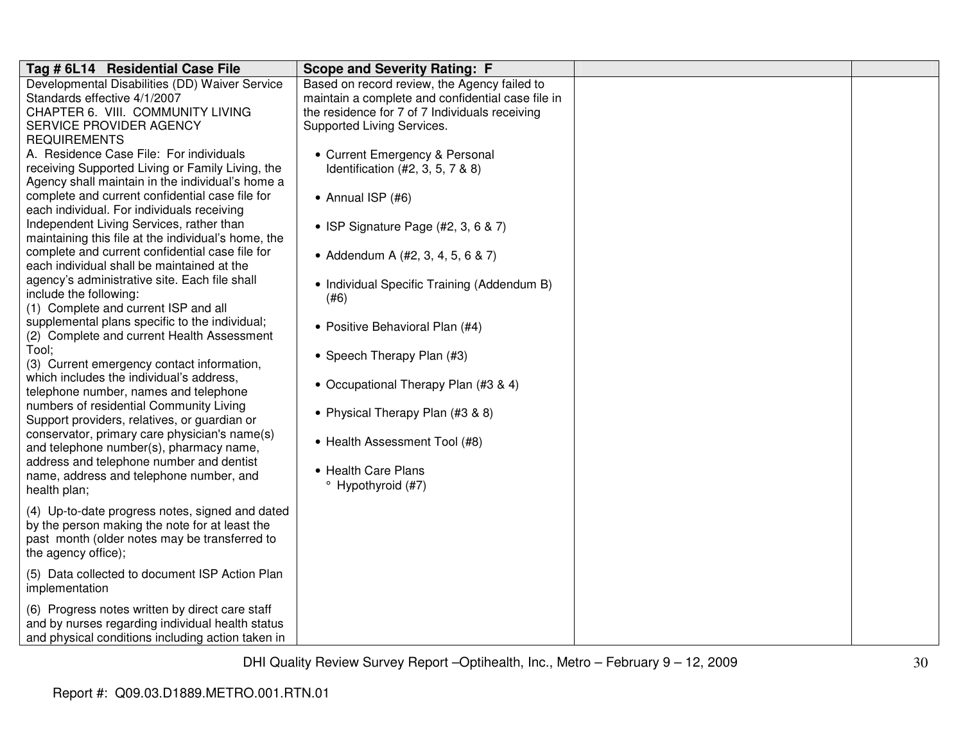| Tag # 6L14 Residential Case File                                                                                                                                                                                                                                                                                                                                                                                                                                                                                                                                                                                                                                                                                                                                                                  | <b>Scope and Severity Rating: F</b>                                                                                                                                                                                                                                                                                                       |  |
|---------------------------------------------------------------------------------------------------------------------------------------------------------------------------------------------------------------------------------------------------------------------------------------------------------------------------------------------------------------------------------------------------------------------------------------------------------------------------------------------------------------------------------------------------------------------------------------------------------------------------------------------------------------------------------------------------------------------------------------------------------------------------------------------------|-------------------------------------------------------------------------------------------------------------------------------------------------------------------------------------------------------------------------------------------------------------------------------------------------------------------------------------------|--|
| Developmental Disabilities (DD) Waiver Service<br>Standards effective 4/1/2007<br>CHAPTER 6. VIII. COMMUNITY LIVING<br>SERVICE PROVIDER AGENCY                                                                                                                                                                                                                                                                                                                                                                                                                                                                                                                                                                                                                                                    | Based on record review, the Agency failed to<br>maintain a complete and confidential case file in<br>the residence for 7 of 7 Individuals receiving<br>Supported Living Services.                                                                                                                                                         |  |
| <b>REQUIREMENTS</b><br>A. Residence Case File: For individuals<br>receiving Supported Living or Family Living, the<br>Agency shall maintain in the individual's home a<br>complete and current confidential case file for<br>each individual. For individuals receiving<br>Independent Living Services, rather than<br>maintaining this file at the individual's home, the<br>complete and current confidential case file for<br>each individual shall be maintained at the<br>agency's administrative site. Each file shall<br>include the following:<br>(1) Complete and current ISP and all<br>supplemental plans specific to the individual;<br>(2) Complete and current Health Assessment<br>Tool;<br>(3) Current emergency contact information,<br>which includes the individual's address, | • Current Emergency & Personal<br>Identification $(#2, 3, 5, 7, 8, 8)$<br>• Annual ISP $(#6)$<br>• ISP Signature Page (#2, 3, 6 & 7)<br>• Addendum A (#2, 3, 4, 5, 6 & 7)<br>• Individual Specific Training (Addendum B)<br>(#6)<br>• Positive Behavioral Plan (#4)<br>• Speech Therapy Plan (#3)<br>• Occupational Therapy Plan (#3 & 4) |  |
| telephone number, names and telephone<br>numbers of residential Community Living<br>Support providers, relatives, or guardian or<br>conservator, primary care physician's name(s)<br>and telephone number(s), pharmacy name,<br>address and telephone number and dentist<br>name, address and telephone number, and<br>health plan;                                                                                                                                                                                                                                                                                                                                                                                                                                                               | • Physical Therapy Plan (#3 & 8)<br>• Health Assessment Tool (#8)<br>• Health Care Plans<br><sup>o</sup> Hypothyroid (#7)                                                                                                                                                                                                                 |  |
| (4) Up-to-date progress notes, signed and dated<br>by the person making the note for at least the<br>past month (older notes may be transferred to<br>the agency office);                                                                                                                                                                                                                                                                                                                                                                                                                                                                                                                                                                                                                         |                                                                                                                                                                                                                                                                                                                                           |  |
| (5) Data collected to document ISP Action Plan<br>implementation                                                                                                                                                                                                                                                                                                                                                                                                                                                                                                                                                                                                                                                                                                                                  |                                                                                                                                                                                                                                                                                                                                           |  |
| (6) Progress notes written by direct care staff<br>and by nurses regarding individual health status<br>and physical conditions including action taken in                                                                                                                                                                                                                                                                                                                                                                                                                                                                                                                                                                                                                                          |                                                                                                                                                                                                                                                                                                                                           |  |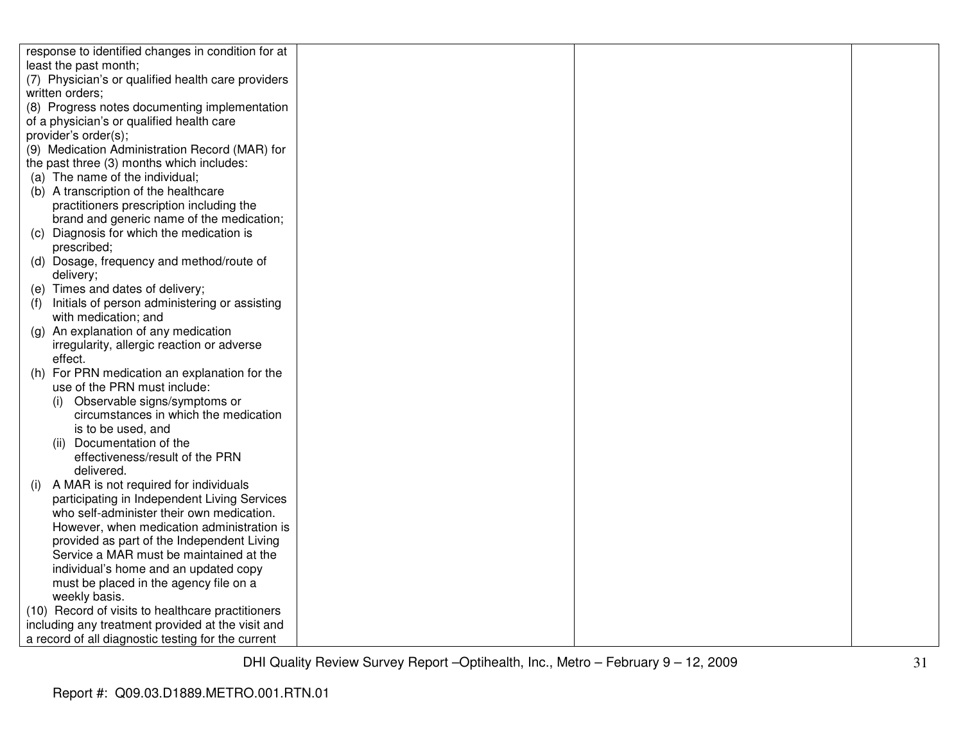| response to identified changes in condition for at                                       |  |
|------------------------------------------------------------------------------------------|--|
| least the past month;                                                                    |  |
| (7) Physician's or qualified health care providers                                       |  |
| written orders;                                                                          |  |
| (8) Progress notes documenting implementation                                            |  |
| of a physician's or qualified health care                                                |  |
| provider's order(s);                                                                     |  |
| (9) Medication Administration Record (MAR) for                                           |  |
| the past three (3) months which includes:                                                |  |
| (a) The name of the individual;                                                          |  |
| (b) A transcription of the healthcare                                                    |  |
| practitioners prescription including the                                                 |  |
| brand and generic name of the medication;                                                |  |
| Diagnosis for which the medication is<br>(C)                                             |  |
| prescribed;                                                                              |  |
| (d) Dosage, frequency and method/route of                                                |  |
| delivery;                                                                                |  |
| (e) Times and dates of delivery;                                                         |  |
| Initials of person administering or assisting                                            |  |
| with medication; and                                                                     |  |
| An explanation of any medication<br>$\left( \mathbf{q} \right)$                          |  |
| irregularity, allergic reaction or adverse                                               |  |
| effect.                                                                                  |  |
| For PRN medication an explanation for the<br>(h)                                         |  |
| use of the PRN must include:                                                             |  |
| (i) Observable signs/symptoms or                                                         |  |
| circumstances in which the medication                                                    |  |
| is to be used, and                                                                       |  |
| (ii) Documentation of the                                                                |  |
| effectiveness/result of the PRN                                                          |  |
| delivered.                                                                               |  |
| A MAR is not required for individuals<br>(i)                                             |  |
| participating in Independent Living Services                                             |  |
| who self-administer their own medication.                                                |  |
| However, when medication administration is<br>provided as part of the Independent Living |  |
| Service a MAR must be maintained at the                                                  |  |
| individual's home and an updated copy                                                    |  |
| must be placed in the agency file on a                                                   |  |
| weekly basis.                                                                            |  |
| (10) Record of visits to healthcare practitioners                                        |  |
| including any treatment provided at the visit and                                        |  |
| a record of all diagnostic testing for the current                                       |  |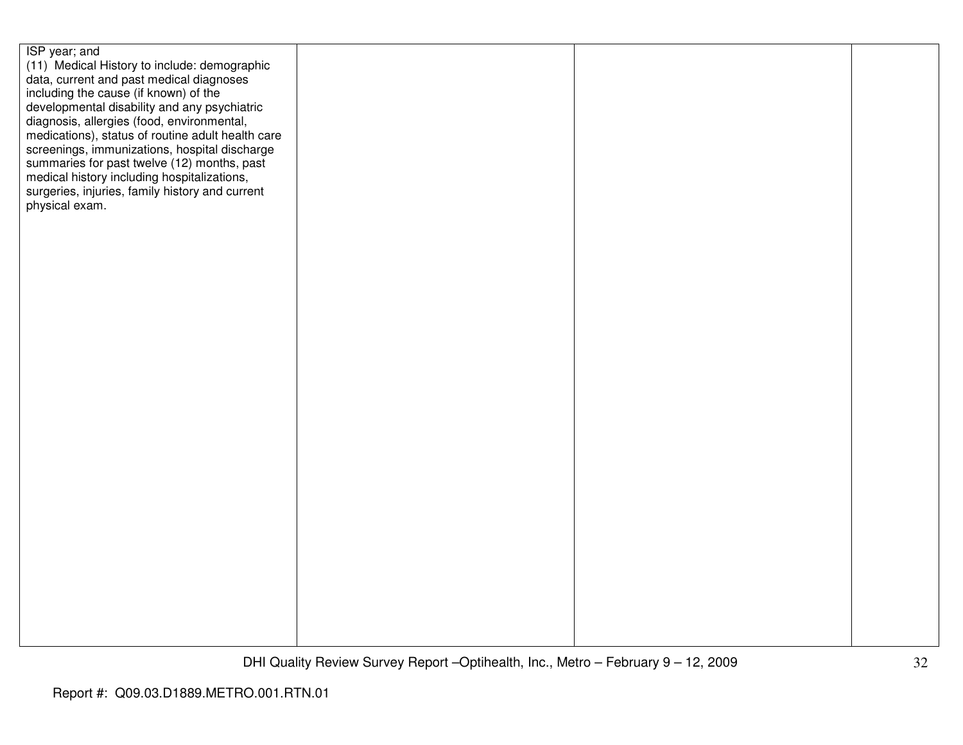| ISP year; and<br>(11) Medical History to include: demographic                                   |  |  |
|-------------------------------------------------------------------------------------------------|--|--|
| data, current and past medical diagnoses<br>including the cause (if known) of the               |  |  |
| developmental disability and any psychiatric                                                    |  |  |
| diagnosis, allergies (food, environmental,<br>medications), status of routine adult health care |  |  |
| screenings, immunizations, hospital discharge<br>summaries for past twelve (12) months, past    |  |  |
| medical history including hospitalizations,                                                     |  |  |
| surgeries, injuries, family history and current<br>physical exam.                               |  |  |
|                                                                                                 |  |  |
|                                                                                                 |  |  |
|                                                                                                 |  |  |
|                                                                                                 |  |  |
|                                                                                                 |  |  |
|                                                                                                 |  |  |
|                                                                                                 |  |  |
|                                                                                                 |  |  |
|                                                                                                 |  |  |
|                                                                                                 |  |  |
|                                                                                                 |  |  |
|                                                                                                 |  |  |
|                                                                                                 |  |  |
|                                                                                                 |  |  |
|                                                                                                 |  |  |
|                                                                                                 |  |  |
|                                                                                                 |  |  |